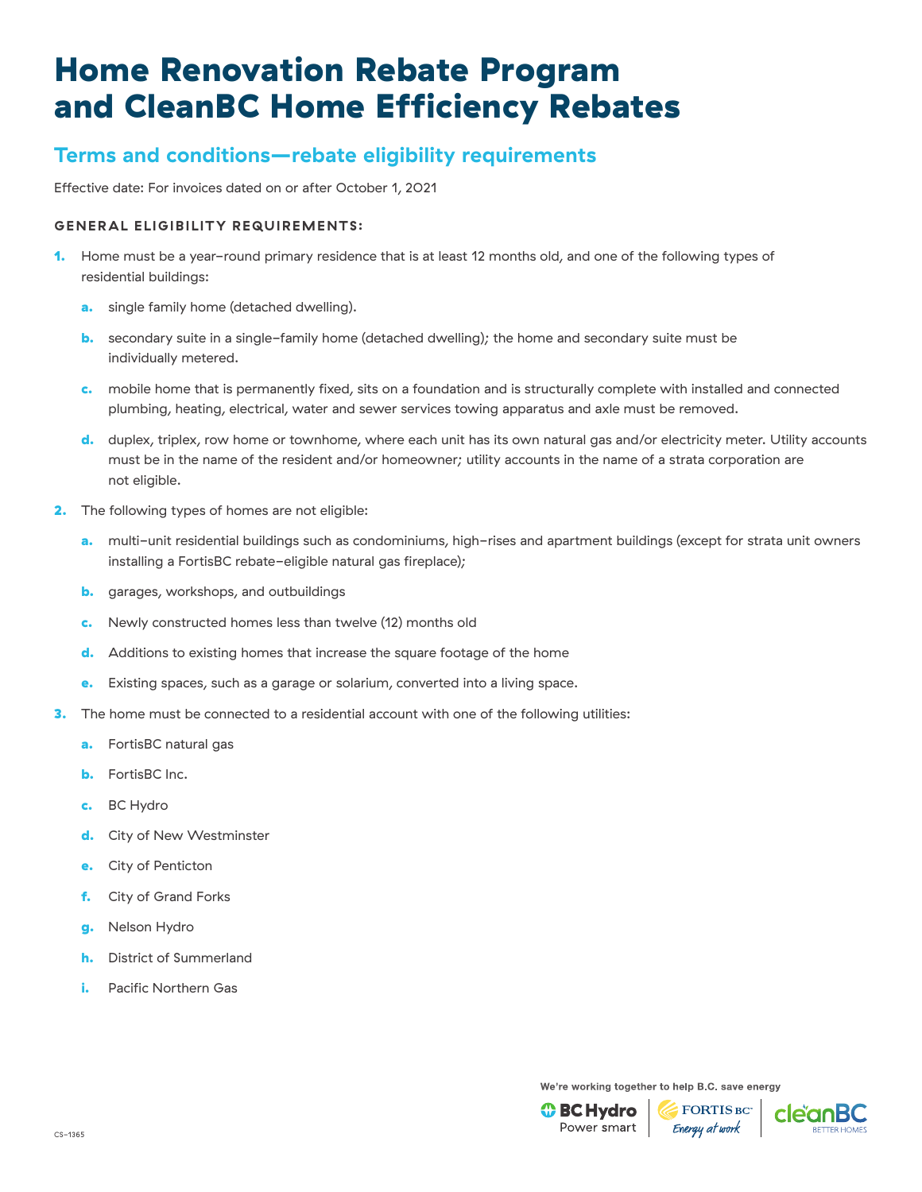## **Terms and conditions—rebate eligibility requirements**

Effective date: For invoices dated on or after October 1, 2021

### **GENERAL ELIGIBILITY REQUIREMENTS:**

- 1. Home must be a year-round primary residence that is at least 12 months old, and one of the following types of residential buildings:
	- a. single family home (detached dwelling).
	- b. secondary suite in a single-family home (detached dwelling); the home and secondary suite must be individually metered.
	- c. mobile home that is permanently fixed, sits on a foundation and is structurally complete with installed and connected plumbing, heating, electrical, water and sewer services towing apparatus and axle must be removed.
	- d. duplex, triplex, row home or townhome, where each unit has its own natural gas and/or electricity meter. Utility accounts must be in the name of the resident and/or homeowner; utility accounts in the name of a strata corporation are not eligible.
- 2. The following types of homes are not eligible:
	- a. multi-unit residential buildings such as condominiums, high-rises and apartment buildings (except for strata unit owners installing a FortisBC rebate-eligible natural gas fireplace);
	- **b.** garages, workshops, and outbuildings
	- c. Newly constructed homes less than twelve (12) months old
	- d. Additions to existing homes that increase the square footage of the home
	- e. Existing spaces, such as a garage or solarium, converted into a living space.
- **3.** The home must be connected to a residential account with one of the following utilities:
	- a. FortisBC natural gas
	- **b.** FortisBC Inc.
	- c. BC Hydro
	- d. City of New Westminster
	- e. City of Penticton
	- f. City of Grand Forks
	- g. Nelson Hydro
	- h. District of Summerland
	- **i.** Pacific Northern Gas

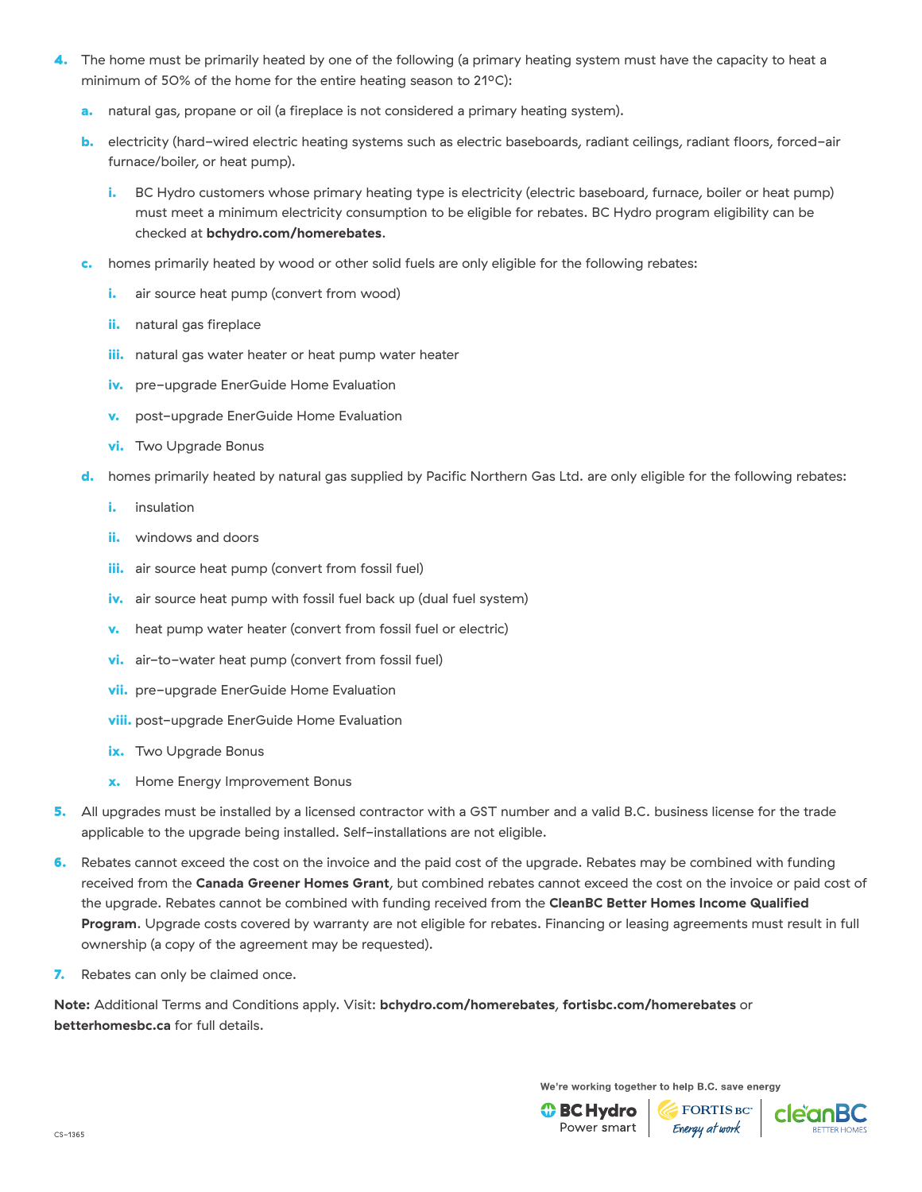- 4. The home must be primarily heated by one of the following (a primary heating system must have the capacity to heat a minimum of 50% of the home for the entire heating season to 21°C):
	- a. natural gas, propane or oil (a fireplace is not considered a primary heating system).
	- b. electricity (hard-wired electric heating systems such as electric baseboards, radiant ceilings, radiant floors, forced-air furnace/boiler, or heat pump).
		- i. BC Hydro customers whose primary heating type is electricity (electric baseboard, furnace, boiler or heat pump) must meet a minimum electricity consumption to be eligible for rebates. BC Hydro program eligibility can be checked at **[bchydro.com/homerebates](http://www.bchydro.com/homerebates)**.
	- homes primarily heated by wood or other solid fuels are only eligible for the following rebates:
		- i. air source heat pump (convert from wood)
		- ii. natural gas fireplace
		- iii. natural gas water heater or heat pump water heater
		- iv. pre-upgrade EnerGuide Home Evaluation
		- **v.** post-upgrade EnerGuide Home Evaluation
		- vi. Two Upgrade Bonus
	- d. homes primarily heated by natural gas supplied by Pacific Northern Gas Ltd. are only eligible for the following rebates:
		- i. insulation
		- ii. windows and doors
		- iii. air source heat pump (convert from fossil fuel)
		- iv. air source heat pump with fossil fuel back up (dual fuel system)
		- **v.** heat pump water heater (convert from fossil fuel or electric)
		- vi. air-to-water heat pump (convert from fossil fuel)
		- vii. pre-upgrade EnerGuide Home Evaluation
		- viii. post-upgrade EnerGuide Home Evaluation
		- ix. Two Upgrade Bonus
		- Home Energy Improvement Bonus
- 5. All upgrades must be installed by a licensed contractor with a GST number and a valid B.C. business license for the trade applicable to the upgrade being installed. Self-installations are not eligible.
- 6. Rebates cannot exceed the cost on the invoice and the paid cost of the upgrade. Rebates may be combined with funding received from the **Canada [Greener Homes Grant](https://www.nrcan.gc.ca/energy-efficiency/homes/canada-greener-homes-grant/23441)**, but combined rebates cannot exceed the cost on the invoice or paid cost of the upgrade. Rebates cannot be combined with funding received from the **[CleanBC Better Homes Income Qualified](http://betterhomesbc.ca/income-qualified)  [Program](http://betterhomesbc.ca/income-qualified)**. Upgrade costs covered by warranty are not eligible for rebates. Financing or leasing agreements must result in full ownership (a copy of the agreement may be requested).
- 7. Rebates can only be claimed once.

**Note:** Additional Terms and Conditions apply. Visit: **[bchydro.com/homerebates](https://www.bchydro.com/powersmart/residential/savings-and-rebates/current-rebates-buy-backs/home-renovation-rebates.html?WT.mc_id=rd_homerebates)**, **[fortisbc.com/homerebates](https://www.fortisbc.com/rebates-and-energy-savings/rebates-and-offers/bundles/home-renovations?utm_campaign=cemres&utm_source=collateral&utm_content=homerebates)** or **[betterhomesbc.ca](https://betterhomesbc.ca/)** for full details.

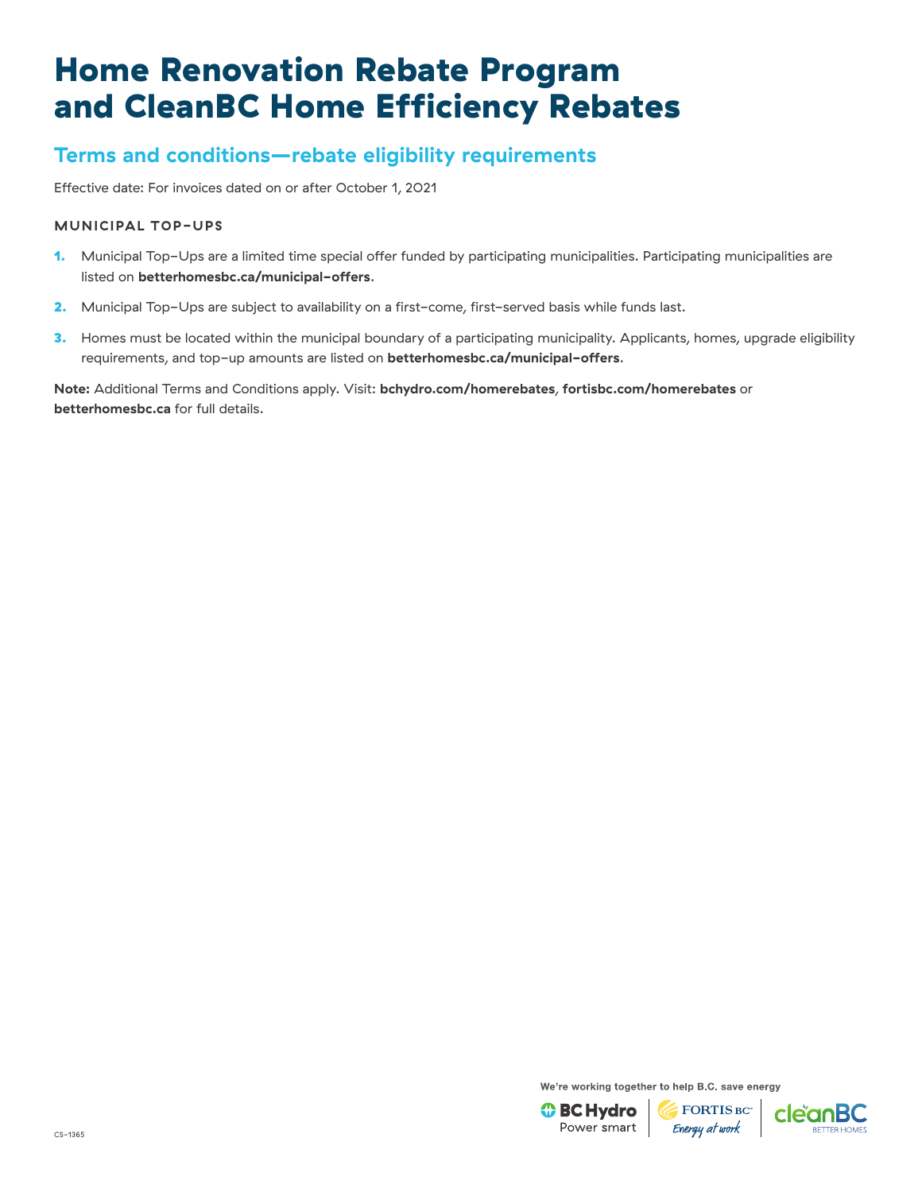## **Terms and conditions—rebate eligibility requirements**

Effective date: For invoices dated on or after October 1, 2021

### **MUNICIPAL TOP-UPS**

- 1. Municipal Top-Ups are a limited time special offer funded by participating municipalities. Participating municipalities are listed on **[betterhomesbc.ca/municipal-offers](www.betterhomesbc.ca/municipal-offers)**.
- 2. Municipal Top-Ups are subject to availability on a first-come, first-served basis while funds last.
- 3. Homes must be located within the municipal boundary of a participating municipality. Applicants, homes, upgrade eligibility requirements, and top-up amounts are listed on **[betterhomesbc.ca/municipal-offers](www.betterhomesbc.ca/municipal-offers)**.

**Note:** Additional Terms and Conditions apply. Visit: **[bchydro.com/homerebates](https://www.bchydro.com/powersmart/residential/savings-and-rebates/current-rebates-buy-backs/home-renovation-rebates.html?WT.mc_id=rd_homerebates)**, **[fortisbc.com/homerebates](https://www.fortisbc.com/rebates-and-energy-savings/rebates-and-offers/bundles/home-renovations?utm_campaign=cemres&utm_source=collateral&utm_content=homerebates)** or **[betterhomesbc.ca](https://betterhomesbc.ca/)** for full details.

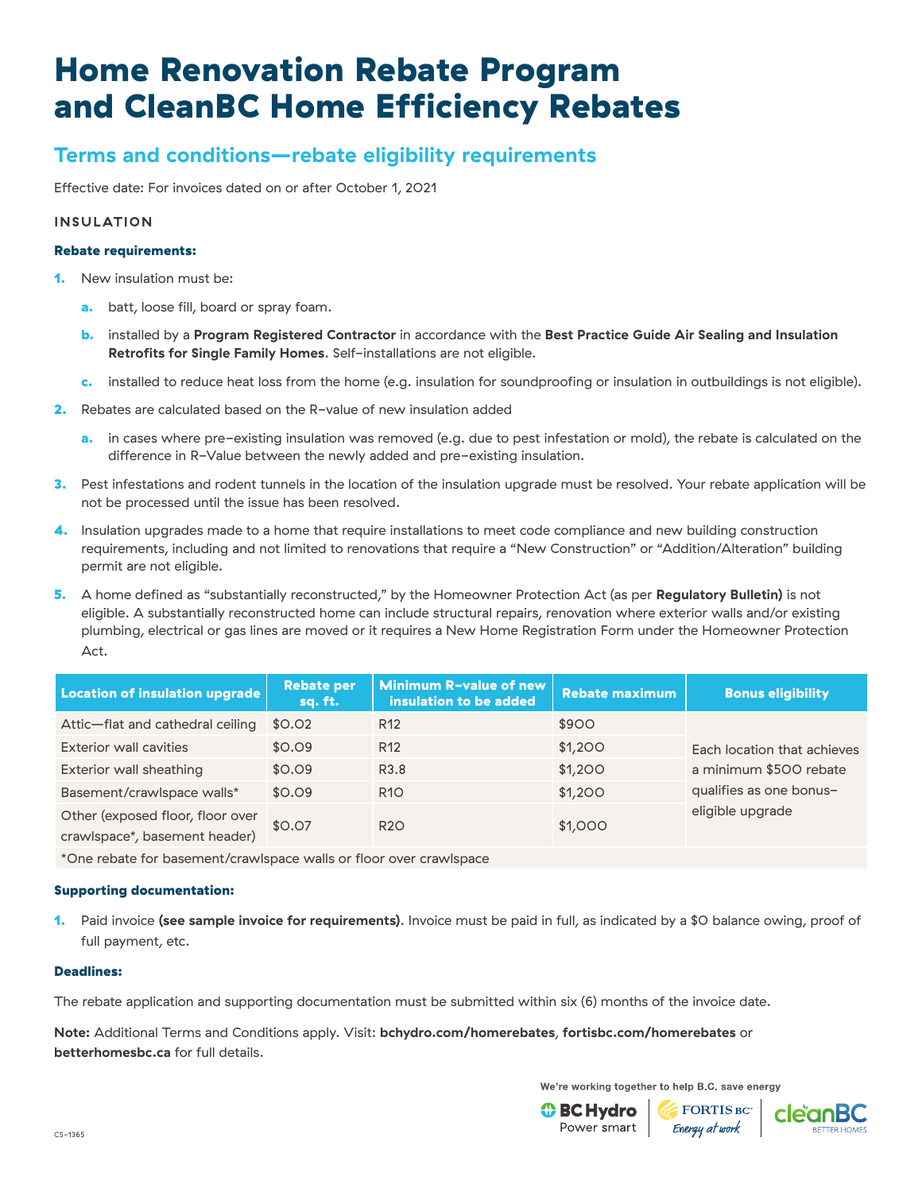## **Terms and conditions—rebate eligibility requirements**

Effective date: For invoices dated on or after October 1, 2021

### **INSULATION**

#### Rebate requirements:

- **1.** New insulation must be:
	- a. batt, loose fill, board or spray foam.
	- b. installed by a **[Program Registered Contractor](http://betterhomesbc.ca/prc)** in accordance with the **[Best Practice Guide Air Sealing and Insulation](https://www.bchousing.org/research-centre/library/residential-design-construction/best-practices-air-sealing-insulation-retrofits%26sortType=sortByDate)  [Retrofits for Single Family Homes](https://www.bchousing.org/research-centre/library/residential-design-construction/best-practices-air-sealing-insulation-retrofits%26sortType=sortByDate)**. Self-installations are not eligible.
	- c. installed to reduce heat loss from the home (e.g. insulation for soundproofing or insulation in outbuildings is not eligible).
- 2. Rebates are calculated based on the R-value of new insulation added
	- a. in cases where pre-existing insulation was removed (e.g. due to pest infestation or mold), the rebate is calculated on the difference in R-Value between the newly added and pre-existing insulation.
- **3.** Pest infestations and rodent tunnels in the location of the insulation upgrade must be resolved. Your rebate application will be not be processed until the issue has been resolved.
- 4. Insulation upgrades made to a home that require installations to meet code compliance and new building construction requirements, including and not limited to renovations that require a "New Construction" or "Addition/Alteration" building permit are not eligible.
- 5. A home defined as "substantially reconstructed," by the Homeowner Protection Act (as per **[Regulatory Bulletin\)](https://betterhomesbc.ca/wp-content/uploads/2020/04/Regulatory-Bulletin-06-Substantially-Reconstructed-Homes.pdf)** is not eligible. A substantially reconstructed home can include structural repairs, renovation where exterior walls and/or existing plumbing, electrical or gas lines are moved or it requires a New Home Registration Form under the Homeowner Protection Act.

| Location of insulation upgrade                                    | <b>Rebate per</b><br>sq. ft. | Minimum R-value of new<br>insulation to be added | <b>Rebate maximum</b> | <b>Bonus eligibility</b>    |
|-------------------------------------------------------------------|------------------------------|--------------------------------------------------|-----------------------|-----------------------------|
| Attic-flat and cathedral ceiling                                  | \$0.02                       | R <sub>12</sub>                                  | \$900                 |                             |
| <b>Exterior wall cavities</b>                                     | \$0.09                       | R <sub>12</sub>                                  | \$1,200               | Each location that achieves |
| Exterior wall sheathing                                           | \$0.09                       | R3.8                                             | \$1,200               | a minimum \$500 rebate      |
| Basement/crawlspace walls*                                        | \$0.09                       | <b>R10</b>                                       | \$1,200               | qualifies as one bonus-     |
| Other (exposed floor, floor over<br>crawlspace*, basement header) | \$0.07                       | R <sub>20</sub>                                  | \$1,000               | eligible upgrade            |

\*One rebate for basement/crawlspace walls or floor over crawlspace

### Supporting documentation:

1. Paid invoice **[\(see sample invoice for requirements\)](https://www.bchydro.com/content/dam/BCHydro/customer-portal/documents/power-smart/residential/programs/insulation-sample-invoice.pdf)**. Invoice must be paid in full, as indicated by a \$0 balance owing, proof of full payment, etc.

#### Deadlines:

The rebate application and supporting documentation must be submitted within six (6) months of the invoice date.

**Note:** Additional Terms and Conditions apply. Visit: **[bchydro.com/homerebates](https://www.bchydro.com/powersmart/residential/savings-and-rebates/current-rebates-buy-backs/home-renovation-rebates.html?WT.mc_id=rd_homerebates)**, **[fortisbc.com/homerebates](https://www.fortisbc.com/rebates-and-energy-savings/rebates-and-offers/bundles/home-renovations?utm_campaign=cemres&utm_source=collateral&utm_content=homerebates)** or **[betterhomesbc.ca](https://betterhomesbc.ca/)** for full details.

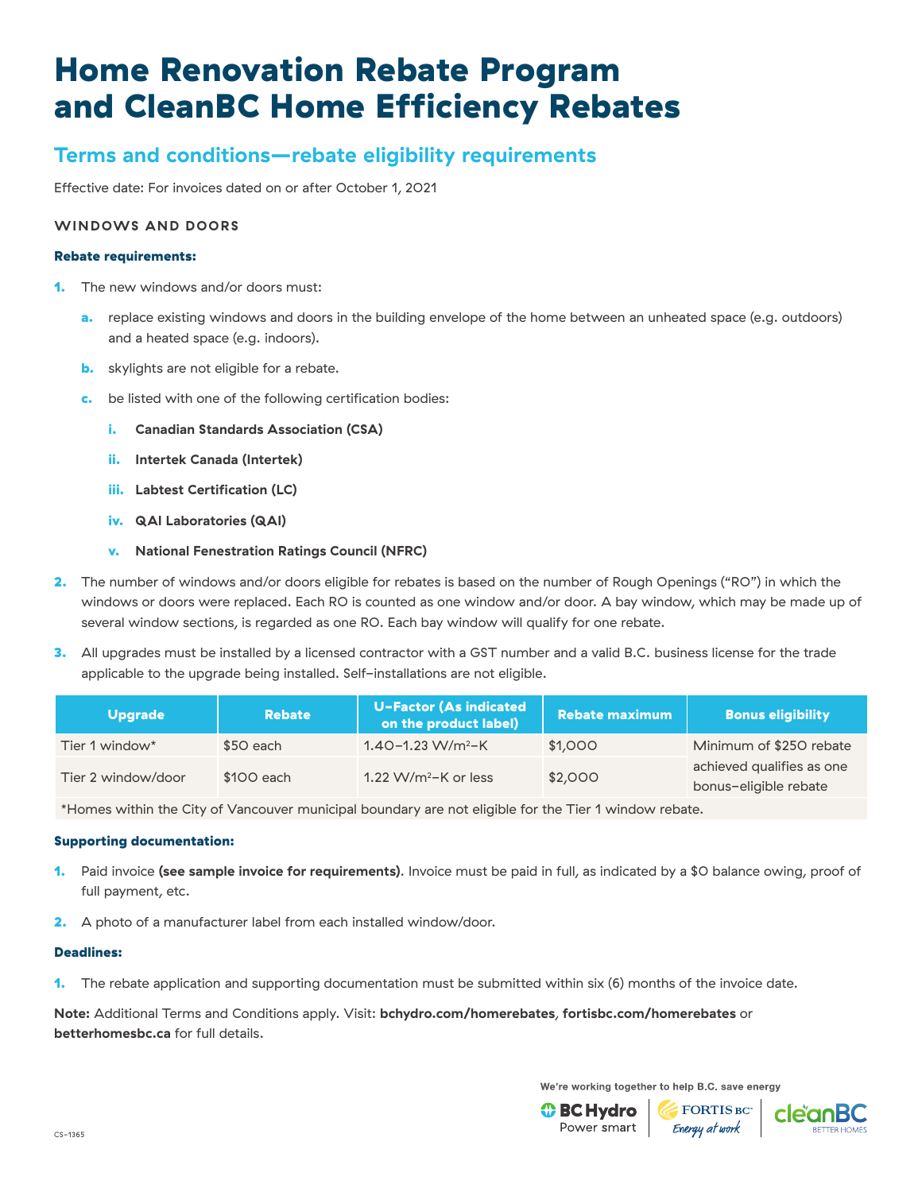## **Terms and conditions—rebate eligibility requirements**

Effective date: For invoices dated on or after October 1, 2021

### **WINDOWS AND DOORS**

#### Rebate requirements:

- 1. The new windows and/or doors must:
	- a. replace existing windows and doors in the building envelope of the home between an unheated space (e.g. outdoors) and a heated space (e.g. indoors).
	- **b.** skylights are not eligible for a rebate.
	- be listed with one of the following certification bodies:
		- i. **[Canadian Standards Association \(CSA\)](https://www.csagroup.org/testing-certification/product-listing/)**
		- ii. **[Intertek Canada \(Intertek\)](https://bpdirectory.intertek.com/Pages/DLP_Search.aspx)**
		- iii. **[Labtest Certification \(LC\)](https://labtestcert.com/labtest/)**
		- iv. **[QAI Laboratories \(QAI\)](https://qai.org/listing-directory/windows-doors-directory/)**
		- v. **[National Fenestration Ratings Council \(NFRC\)](http://search.nfrc.org/search/Searchdefault.aspx)**
- 2. The number of windows and/or doors eligible for rebates is based on the number of Rough Openings ("RO") in which the windows or doors were replaced. Each RO is counted as one window and/or door. A bay window, which may be made up of several window sections, is regarded as one RO. Each bay window will qualify for one rebate.
- 3. All upgrades must be installed by a licensed contractor with a GST number and a valid B.C. business license for the trade applicable to the upgrade being installed. Self-installations are not eligible.

| <b>Upgrade</b>     | <b>Rebate</b> | <b>U-Factor (As indicated</b><br>on the product label) | Rebate maximum | <b>Bonus eligibility</b>                           |
|--------------------|---------------|--------------------------------------------------------|----------------|----------------------------------------------------|
| Tier 1 window*     | \$50 each     | $1.40 - 1.23$ W/m <sup>2</sup> -K                      | \$1,000        | Minimum of \$250 rebate                            |
| Tier 2 window/door | \$100 each    | 1.22 W/m <sup>2</sup> -K or less                       | \$2,000        | achieved qualifies as one<br>bonus-eligible rebate |

\*Homes within the City of Vancouver municipal boundary are not eligible for the Tier 1 window rebate.

#### Supporting documentation:

- 1. Paid invoice **[\(see sample invoice for requirements\)](https://www.bchydro.com/content/dam/BCHydro/customer-portal/documents/power-smart/residential/programs/windows-doors-sample-invoice.pdf)**. Invoice must be paid in full, as indicated by a \$0 balance owing, proof of full payment, etc.
- 2. A photo of a manufacturer label from each installed window/door.

#### Deadlines:

1. The rebate application and supporting documentation must be submitted within six (6) months of the invoice date.

**Note:** Additional Terms and Conditions apply. Visit: **[bchydro.com/homerebates](https://www.bchydro.com/powersmart/residential/savings-and-rebates/current-rebates-buy-backs/home-renovation-rebates.html?WT.mc_id=rd_homerebates)**, **[fortisbc.com/homerebates](https://www.fortisbc.com/rebates-and-energy-savings/rebates-and-offers/bundles/home-renovations?utm_campaign=cemres&utm_source=collateral&utm_content=homerebates)** or **[betterhomesbc.ca](https://betterhomesbc.ca/)** for full details.

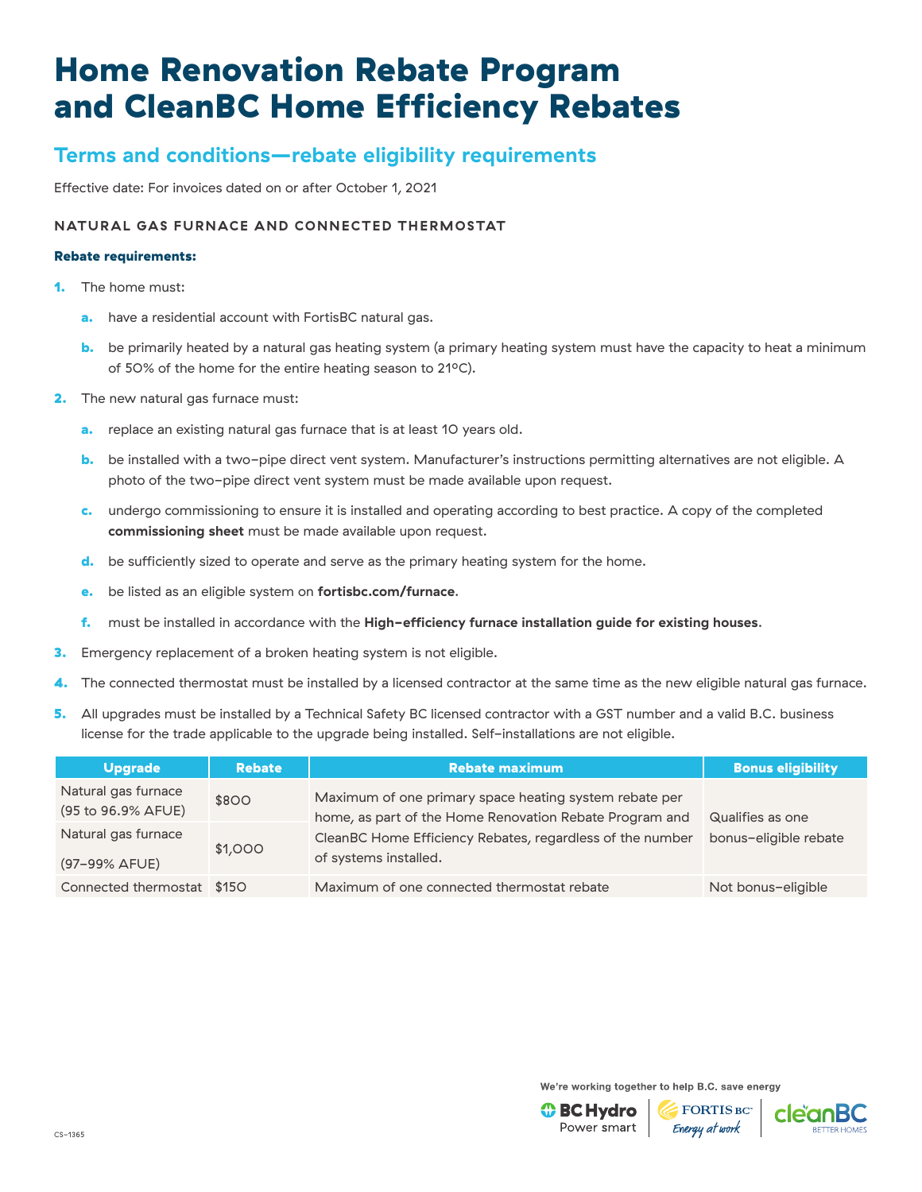## **Terms and conditions—rebate eligibility requirements**

Effective date: For invoices dated on or after October 1, 2021

### **NATURAL GAS FURNACE AND CONNECTED THERMOSTAT**

#### Rebate requirements:

- 1. The home must:
	- a. have a residential account with FortisBC natural gas.
	- **b.** be primarily heated by a natural gas heating system (a primary heating system must have the capacity to heat a minimum of 50% of the home for the entire heating season to 21°C).
- 2. The new natural gas furnace must:
	- a. replace an existing natural gas furnace that is at least 10 years old.
	- b. be installed with a two-pipe direct vent system. Manufacturer's instructions permitting alternatives are not eligible. A photo of the two-pipe direct vent system must be made available upon request.
	- c. undergo commissioning to ensure it is installed and operating according to best practice. A copy of the completed **[commissioning sheet](https://www.cdn.fortisbc.com/libraries/docs/default-source/rebates-and-energy-savings-documents/rebates-for-homes/natural-gas-boiler-and-combination-heating-and-hot-water-system-rebates-commissioning-sheet.pdf?sfvrsn=af9ca65b_2)** must be made available upon request.
	- d. be sufficiently sized to operate and serve as the primary heating system for the home.
	- e. be listed as an eligible system on **[fortisbc.com/furnace](https://www.fortisbc.com/rebates/home/natural-gas-furnace-rebates?utm_campaign=cemres&utm_source=collateral&utm_content=furnace)**.
	- f. must be installed in accordance with the **[High-efficiency furnace installation guide for existing houses](https://www.cdn.fortisbc.com/libraries/docs/default-source/rebates-and-energy-savings-documents/rebates-for-homes/furnaceinstallationguide.pdf?sfvrsn=228eec08_4)**.
- 3. Emergency replacement of a broken heating system is not eligible.
- 4. The connected thermostat must be installed by a licensed contractor at the same time as the new eligible natural gas furnace.
- 5. All upgrades must be installed by a Technical Safety BC licensed contractor with a GST number and a valid B.C. business license for the trade applicable to the upgrade being installed. Self-installations are not eligible.

| <b>Upgrade</b>                            | <b>Rebate</b> | <b>Rebate maximum</b>                                                                                                                                                                                   | <b>Bonus eligibility</b> |
|-------------------------------------------|---------------|---------------------------------------------------------------------------------------------------------------------------------------------------------------------------------------------------------|--------------------------|
| Natural gas furnace<br>(95 to 96.9% AFUE) | \$800         | Maximum of one primary space heating system rebate per<br>home, as part of the Home Renovation Rebate Program and<br>CleanBC Home Efficiency Rebates, regardless of the number<br>of systems installed. | Qualifies as one         |
| Natural gas furnace<br>(97-99% AFUE)      | \$1,000       |                                                                                                                                                                                                         | bonus-eligible rebate    |
| Connected thermostat \$150                |               | Maximum of one connected thermostat rebate                                                                                                                                                              | Not bonus-eligible       |

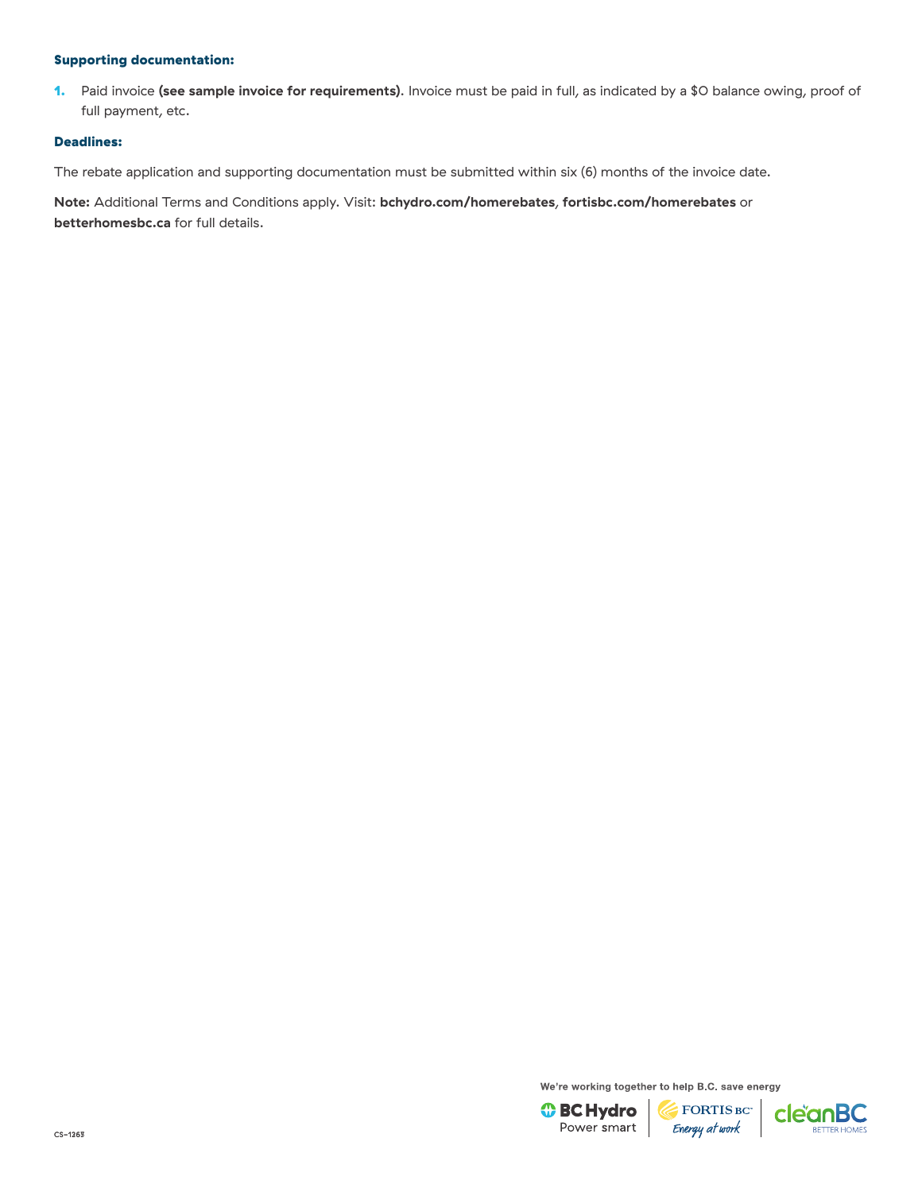1. Paid invoice **[\(see sample invoice for requirements\)](https://www.cdn.fortisbc.com/libraries/docs/default-source/rebates-and-energy-savings-documents/rebates-for-homes/19-029-31-hrr-sampleinvoice-furnace-thermostat-web.pdf?sfvrsn=72caefd8_2)**. Invoice must be paid in full, as indicated by a \$0 balance owing, proof of full payment, etc.

#### Deadlines:

The rebate application and supporting documentation must be submitted within six (6) months of the invoice date.

**Note:** Additional Terms and Conditions apply. Visit: **[bchydro.com/homerebates](https://www.bchydro.com/powersmart/residential/savings-and-rebates/current-rebates-buy-backs/home-renovation-rebates.html?WT.mc_id=rd_homerebates)**, **[fortisbc.com/homerebates](https://www.fortisbc.com/rebates-and-energy-savings/rebates-and-offers/bundles/home-renovations?utm_campaign=cemres&utm_source=collateral&utm_content=homerebates)** or **[betterhomesbc.ca](https://betterhomesbc.ca/)** for full details.

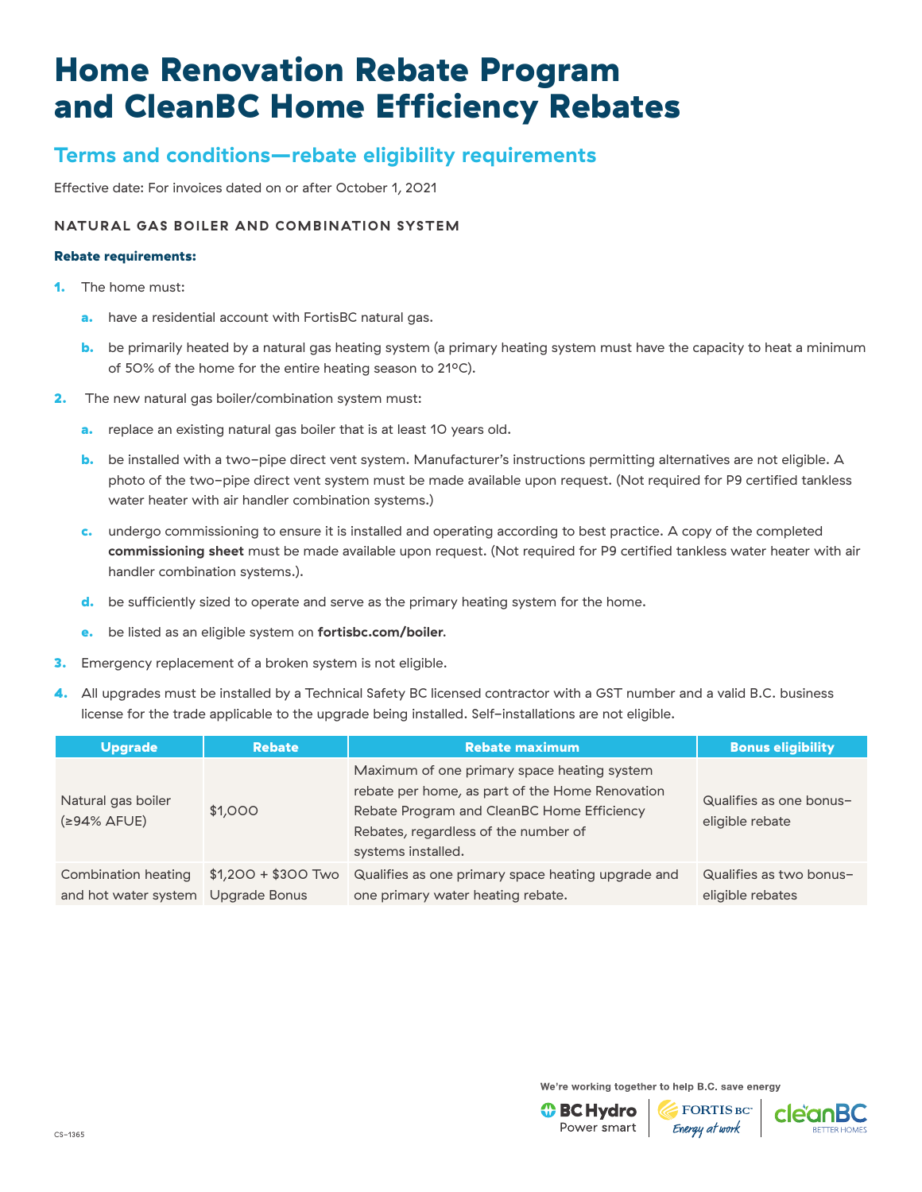## **Terms and conditions—rebate eligibility requirements**

Effective date: For invoices dated on or after October 1, 2021

### **NATURAL GAS BOILER AND COMBINATION SYSTEM**

#### Rebate requirements:

- 1. The home must:
	- a. have a residential account with FortisBC natural gas.
	- **b.** be primarily heated by a natural gas heating system (a primary heating system must have the capacity to heat a minimum of 50% of the home for the entire heating season to 21°C).
- **2.** The new natural gas boiler/combination system must:
	- a. replace an existing natural gas boiler that is at least 10 years old.
	- b. be installed with a two-pipe direct vent system. Manufacturer's instructions permitting alternatives are not eligible. A photo of the two-pipe direct vent system must be made available upon request. (Not required for P9 certified tankless water heater with air handler combination systems.)
	- c. undergo commissioning to ensure it is installed and operating according to best practice. A copy of the completed **[commissioning sheet](https://www.cdn.fortisbc.com/libraries/docs/default-source/rebates-and-energy-savings-documents/rebates-for-homes/natural-gas-boiler-and-combination-heating-and-hot-water-system-rebates-commissioning-sheet.pdf?sfvrsn=af9ca65b_2)** must be made available upon request. (Not required for P9 certified tankless water heater with air handler combination systems.).
	- d. be sufficiently sized to operate and serve as the primary heating system for the home.
	- e. be listed as an eligible system on **[fortisbc.com/boiler](https://www.fortisbc.com/rebates/home/natural-gas-boiler-and-combination-heating-and-hot-water-system-rebates?utm_campaign=cemres&utm_source=collateral&utm_content=boiler)**.
- **3.** Emergency replacement of a broken system is not eligible.
- 4. All upgrades must be installed by a Technical Safety BC licensed contractor with a GST number and a valid B.C. business license for the trade applicable to the upgrade being installed. Self-installations are not eligible.

| <b>Upgrade</b>                                            | <b>Rebate</b>       | <b>Rebate maximum</b>                                                                                                                                                                                      | <b>Bonus eligibility</b>                    |
|-----------------------------------------------------------|---------------------|------------------------------------------------------------------------------------------------------------------------------------------------------------------------------------------------------------|---------------------------------------------|
| Natural gas boiler<br>$(≥94%$ AFUE)                       | \$1,000             | Maximum of one primary space heating system<br>rebate per home, as part of the Home Renovation<br>Rebate Program and CleanBC Home Efficiency<br>Rebates, regardless of the number of<br>systems installed. | Qualifies as one bonus-<br>eligible rebate  |
| Combination heating<br>and hot water system Upgrade Bonus | $$1,200 + $300$ Two | Qualifies as one primary space heating upgrade and<br>one primary water heating rebate.                                                                                                                    | Qualifies as two bonus-<br>eligible rebates |

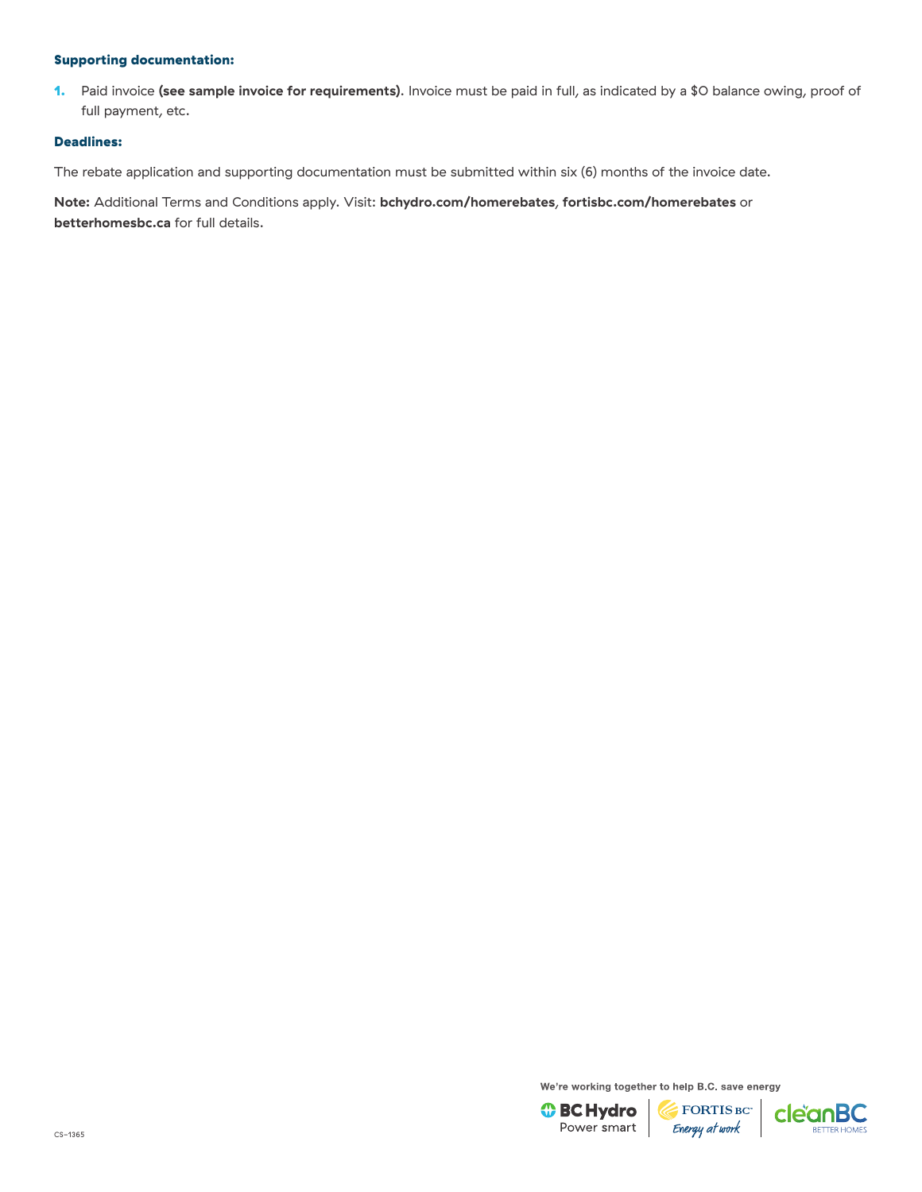1. Paid invoice **[\(see sample invoice for requirements\)](https://www.cdn.fortisbc.com/libraries/docs/default-source/rebates-and-energy-savings-documents/rebates-for-homes/18-196-14_hrr_sample_invoice-furnace-or-boiler.pdf?sfvrsn=3dd2c54c_12)**. Invoice must be paid in full, as indicated by a \$0 balance owing, proof of full payment, etc.

#### Deadlines:

The rebate application and supporting documentation must be submitted within six (6) months of the invoice date.

**Note:** Additional Terms and Conditions apply. Visit: **[bchydro.com/homerebates](https://www.bchydro.com/powersmart/residential/savings-and-rebates/current-rebates-buy-backs/home-renovation-rebates.html?WT.mc_id=rd_homerebates)**, **[fortisbc.com/homerebates](https://www.fortisbc.com/rebates-and-energy-savings/rebates-and-offers/bundles/home-renovations?utm_campaign=cemres&utm_source=collateral&utm_content=homerebates)** or **[betterhomesbc.ca](https://betterhomesbc.ca/)** for full details.

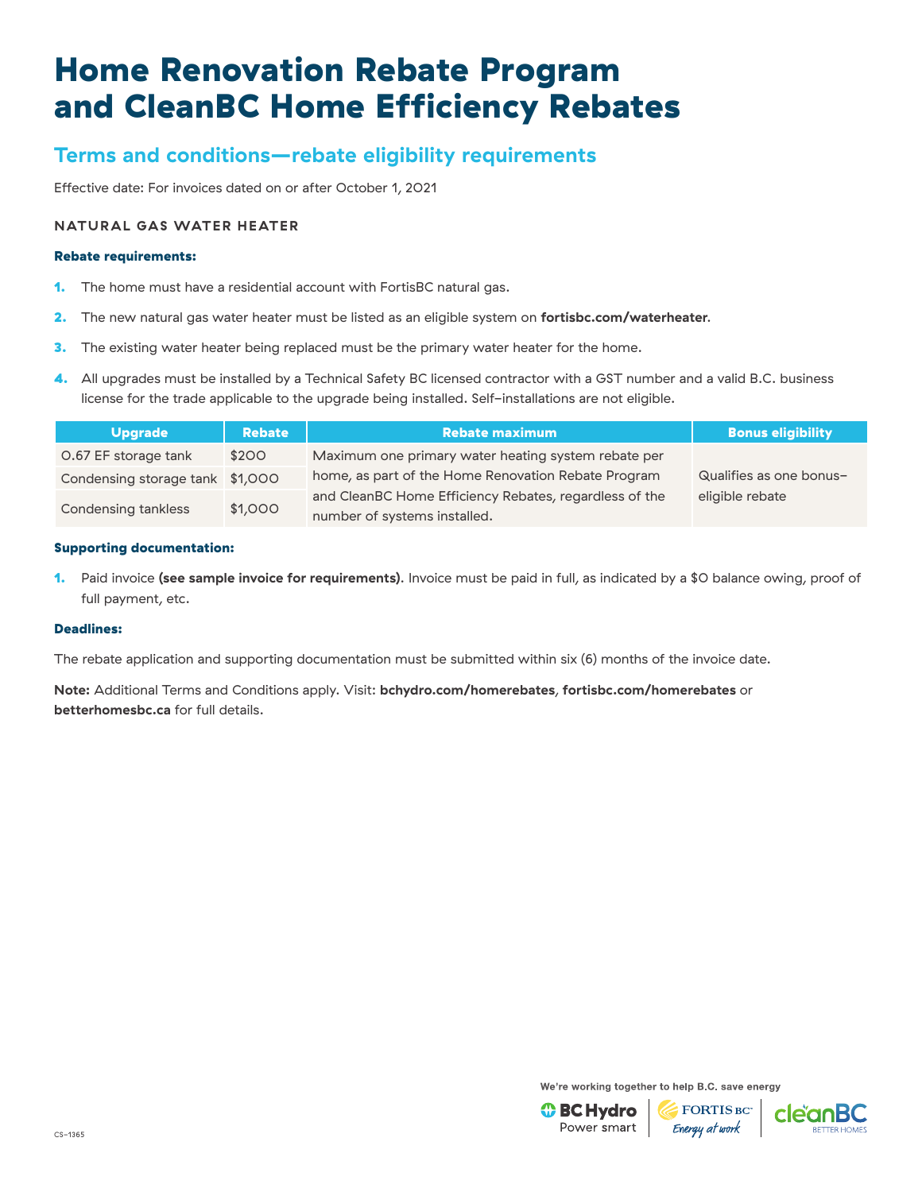# **Terms and conditions—rebate eligibility requirements**

Effective date: For invoices dated on or after October 1, 2021

### **NATURAL GAS WATER HEATER**

#### Rebate requirements:

- 1. The home must have a residential account with FortisBC natural gas.
- 2. The new natural gas water heater must be listed as an eligible system on **[fortisbc.com/waterheater](https://www.fortisbc.com/rebates/home/natural-gas-water-heater-rebate?utm_campaign=cemres&utm_source=collateral&utm_content=waterheater)**.
- 3. The existing water heater being replaced must be the primary water heater for the home.
- 4. All upgrades must be installed by a Technical Safety BC licensed contractor with a GST number and a valid B.C. business license for the trade applicable to the upgrade being installed. Self-installations are not eligible.

| <b>Upgrade</b>                  | <b>Rebate</b> | <b>Rebate maximum</b>                                  | <b>Bonus eligibility</b> |
|---------------------------------|---------------|--------------------------------------------------------|--------------------------|
| O.67 EF storage tank            | \$200         | Maximum one primary water heating system rebate per    |                          |
| Condensing storage tank \$1,000 |               | home, as part of the Home Renovation Rebate Program    | Qualifies as one bonus-  |
| \$1,000<br>Condensing tankless  |               | and CleanBC Home Efficiency Rebates, regardless of the | eligible rebate          |
|                                 |               | number of systems installed.                           |                          |

#### Supporting documentation:

1. Paid invoice **[\(see sample invoice for requirements\)](https://www.cdn.fortisbc.com/libraries/docs/default-source/rebates-and-energy-savings-documents/rebates-for-homes/18-196-14_hrr_sample_invoice-natural-gas-water-heater.pdf?sfvrsn=3b18db4c_4)**. Invoice must be paid in full, as indicated by a \$0 balance owing, proof of full payment, etc.

#### Deadlines:

The rebate application and supporting documentation must be submitted within six (6) months of the invoice date.

**Note:** Additional Terms and Conditions apply. Visit: **[bchydro.com/homerebates](https://www.bchydro.com/powersmart/residential/savings-and-rebates/current-rebates-buy-backs/home-renovation-rebates.html?WT.mc_id=rd_homerebates)**, **[fortisbc.com/homerebates](https://www.fortisbc.com/rebates-and-energy-savings/rebates-and-offers/bundles/home-renovations?utm_campaign=cemres&utm_source=collateral&utm_content=homerebates)** or **[betterhomesbc.ca](https://betterhomesbc.ca/)** for full details.

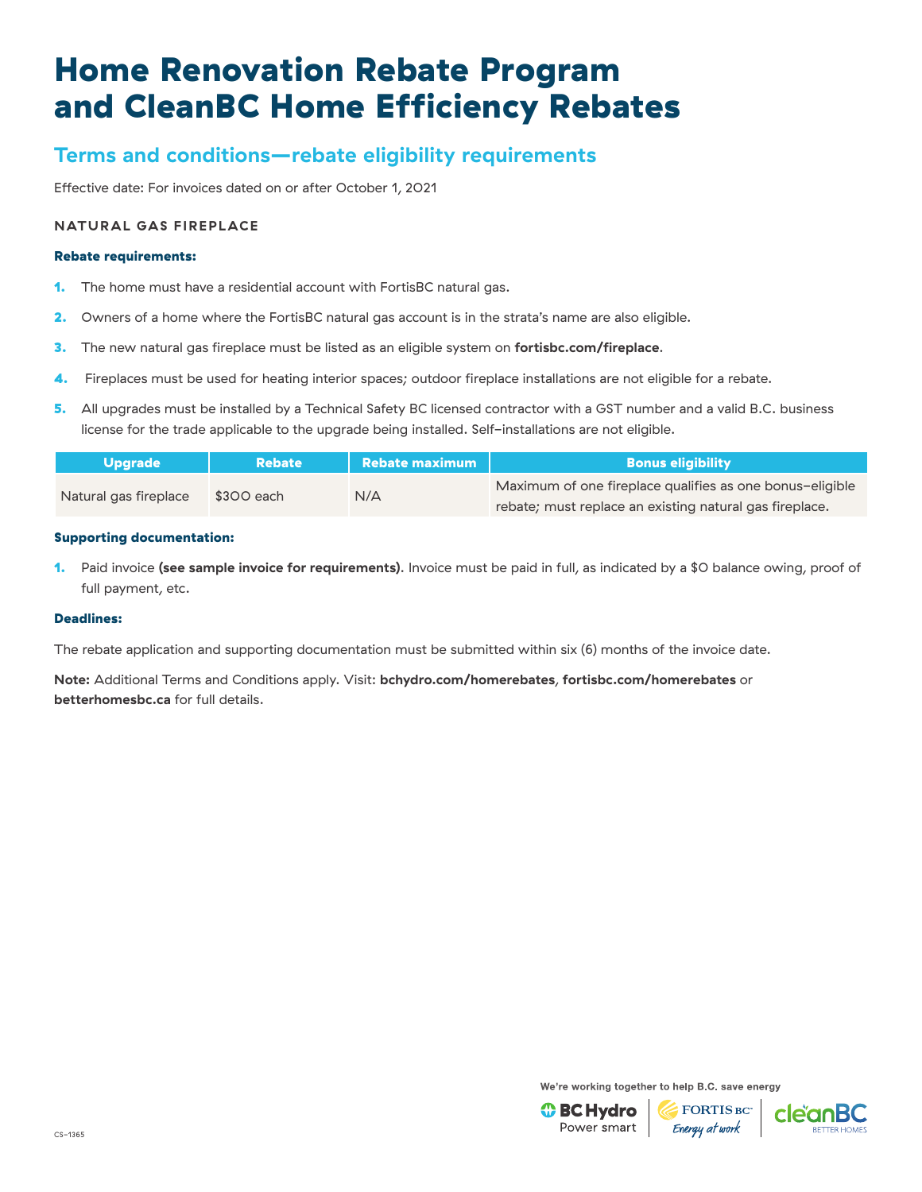# **Terms and conditions—rebate eligibility requirements**

Effective date: For invoices dated on or after October 1, 2021

### **NATURAL GAS FIREPLACE**

#### Rebate requirements:

- 1. The home must have a residential account with FortisBC natural gas.
- 2. Owners of a home where the FortisBC natural gas account is in the strata's name are also eligible.
- 3. The new natural gas fireplace must be listed as an eligible system on **[fortisbc.com/fireplace](https://www.fortisbc.com/rebates/home/natural-gas-fireplace-rebate?utm_campaign=cemres&utm_source=paid&utm_content=fireplace)**.
- 4. Fireplaces must be used for heating interior spaces; outdoor fireplace installations are not eligible for a rebate.
- 5. All upgrades must be installed by a Technical Safety BC licensed contractor with a GST number and a valid B.C. business license for the trade applicable to the upgrade being installed. Self-installations are not eligible.

| Upgrade               | <b>Rebate</b> | $\blacksquare$ Rebate maximum | <b>Bonus eligibility</b>                                 |
|-----------------------|---------------|-------------------------------|----------------------------------------------------------|
|                       | \$300 each    | N/A                           | Maximum of one fireplace qualifies as one bonus-eligible |
| Natural gas fireplace |               |                               | rebate; must replace an existing natural gas fireplace.  |

#### Supporting documentation:

1. Paid invoice **[\(see sample invoice for requirements\)](https://www.cdn.fortisbc.com/libraries/docs/default-source/rebates-and-energy-savings-documents/rebates-for-homes/fireplace_sampleinvoice.pdf?sfvrsn=660a29d9_4)**. Invoice must be paid in full, as indicated by a \$0 balance owing, proof of full payment, etc.

#### Deadlines:

The rebate application and supporting documentation must be submitted within six (6) months of the invoice date.

**Note:** Additional Terms and Conditions apply. Visit: **[bchydro.com/homerebates](https://www.bchydro.com/powersmart/residential/savings-and-rebates/current-rebates-buy-backs/home-renovation-rebates.html?WT.mc_id=rd_homerebates)**, **[fortisbc.com/homerebates](https://www.fortisbc.com/rebates-and-energy-savings/rebates-and-offers/bundles/home-renovations?utm_campaign=cemres&utm_source=collateral&utm_content=homerebates)** or **[betterhomesbc.ca](https://betterhomesbc.ca/)** for full details.

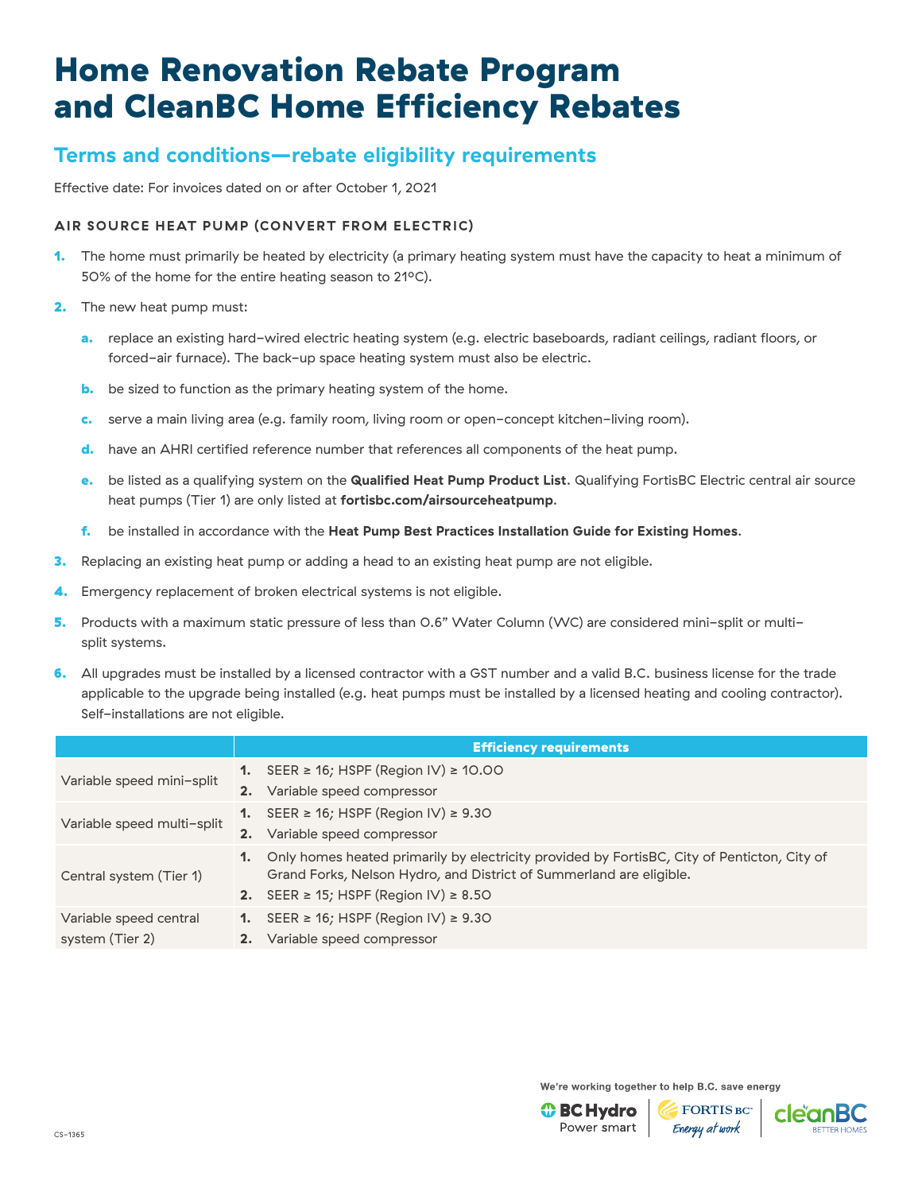## **Terms and conditions—rebate eligibility requirements**

Effective date: For invoices dated on or after October 1, 2021

### **AIR SOURCE HEAT PUMP (CONVERT FROM ELECTRIC)**

- 1. The home must primarily be heated by electricity (a primary heating system must have the capacity to heat a minimum of 50% of the home for the entire heating season to 21°C).
- 2. The new heat pump must:
	- a. replace an existing hard-wired electric heating system (e.g. electric baseboards, radiant ceilings, radiant floors, or forced-air furnace). The back-up space heating system must also be electric.
	- **b.** be sized to function as the primary heating system of the home.
	- c. serve a main living area (e.g. family room, living room or open-concept kitchen-living room).
	- d. have an AHRI certified reference number that references all components of the heat pump.
	- e. be listed as a qualifying system on the **[Qualified Heat Pump Product List](https://app.bchydro.com/hero/HeatPumpLookup)**. Qualifying FortisBC Electric central air source heat pumps (Tier 1) are only listed at **[fortisbc.com/airsourceheatpump](http://www.fortisbc.com/airsourceheatpump)**.
	- f. be installed in accordance with the **[Heat Pump Best Practices Installation Guide for Existing Homes](http://www.homeperformance.ca/wp-content/uploads/2019/12/ASHP_QI_Best_Practice_Guide_20191209.pdf)**.
- **3.** Replacing an existing heat pump or adding a head to an existing heat pump are not eligible.
- 4. Emergency replacement of broken electrical systems is not eligible.
- 5. Products with a maximum static pressure of less than 0.6" Water Column (WC) are considered mini-split or multisplit systems.
- 6. All upgrades must be installed by a licensed contractor with a GST number and a valid B.C. business license for the trade applicable to the upgrade being installed (e.g. heat pumps must be installed by a licensed heating and cooling contractor). Self-installations are not eligible.

|                                           |    | <b>Efficiency requirements</b>                                                                                                                                                                                        |
|-------------------------------------------|----|-----------------------------------------------------------------------------------------------------------------------------------------------------------------------------------------------------------------------|
| Variable speed mini-split                 |    | 1. SEER $\geq$ 16; HSPF (Region IV) $\geq$ 10.00                                                                                                                                                                      |
|                                           |    | 2. Variable speed compressor                                                                                                                                                                                          |
| Variable speed multi-split                |    | 1. SEER $\geq$ 16; HSPF (Region IV) $\geq$ 9.30                                                                                                                                                                       |
|                                           | 2. | Variable speed compressor                                                                                                                                                                                             |
| Central system (Tier 1)                   | 1. | Only homes heated primarily by electricity provided by FortisBC, City of Penticton, City of<br>Grand Forks, Nelson Hydro, and District of Summerland are eligible.<br>2. SEER $\geq$ 15; HSPF (Region IV) $\geq$ 8.50 |
| Variable speed central<br>system (Tier 2) |    | 1. SEER $\geq$ 16; HSPF (Region IV) $\geq$ 9.30<br>2. Variable speed compressor                                                                                                                                       |

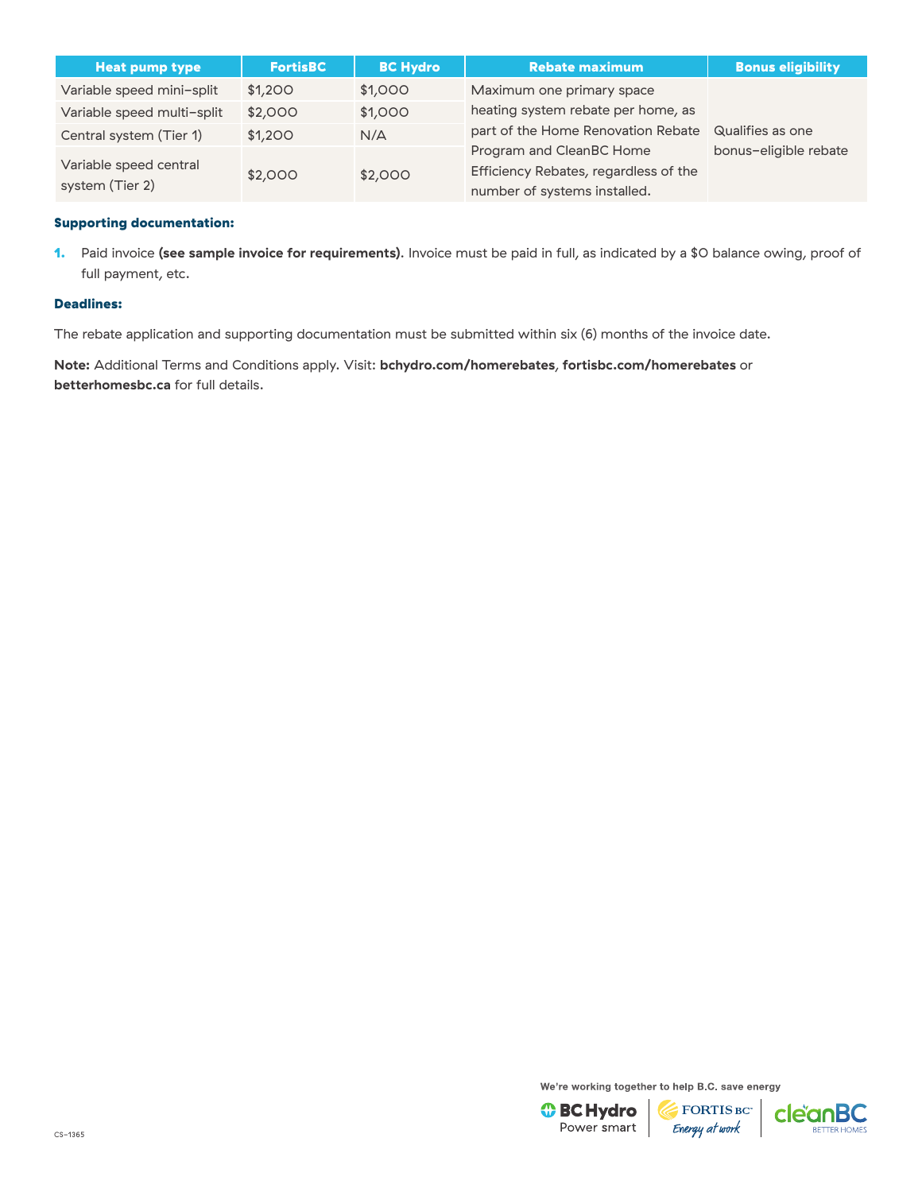| <b>Heat pump type</b>                     | <b>FortisBC</b> | <b>BC Hydro</b> | <b>Rebate maximum</b>                                                                             | <b>Bonus eligibility</b> |
|-------------------------------------------|-----------------|-----------------|---------------------------------------------------------------------------------------------------|--------------------------|
| Variable speed mini-split                 | \$1,200         | \$1,000         | Maximum one primary space                                                                         |                          |
| Variable speed multi-split                | \$2,000         | \$1,000         | heating system rebate per home, as                                                                |                          |
| Central system (Tier 1)                   | \$1,200         | N/A             | part of the Home Renovation Rebate                                                                | Qualifies as one         |
| Variable speed central<br>system (Tier 2) | \$2,000         | \$2,000         | Program and CleanBC Home<br>Efficiency Rebates, regardless of the<br>number of systems installed. | bonus-eligible rebate    |

1. Paid invoice **[\(see sample invoice for requirements\)](https://www.bchydro.com/content/dam/BCHydro/customer-portal/documents/power-smart/residential/programs/air-source-heat-pump-sample-invoice.pdf)**. Invoice must be paid in full, as indicated by a \$0 balance owing, proof of full payment, etc.

#### Deadlines:

The rebate application and supporting documentation must be submitted within six (6) months of the invoice date.

**Note:** Additional Terms and Conditions apply. Visit: **[bchydro.com/homerebates](https://www.bchydro.com/powersmart/residential/savings-and-rebates/current-rebates-buy-backs/home-renovation-rebates.html?WT.mc_id=rd_homerebates)**, **[fortisbc.com/homerebates](https://www.fortisbc.com/rebates-and-energy-savings/rebates-and-offers/bundles/home-renovations?utm_campaign=cemres&utm_source=collateral&utm_content=homerebates)** or **[betterhomesbc.ca](https://betterhomesbc.ca/)** for full details.

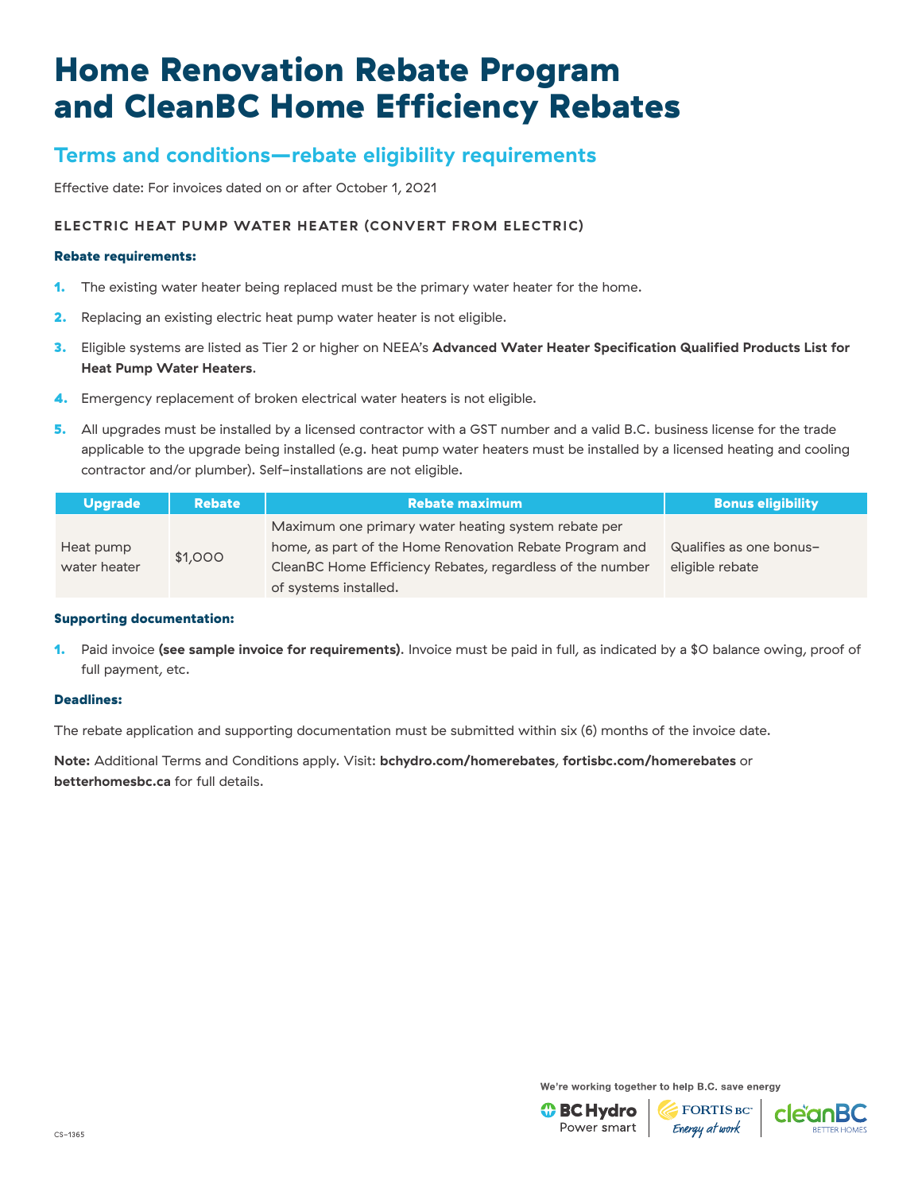## **Terms and conditions—rebate eligibility requirements**

Effective date: For invoices dated on or after October 1, 2021

### **ELECTRIC HEAT PUMP WATER HEATER (CONVERT FROM ELECTRIC)**

#### Rebate requirements:

- 1. The existing water heater being replaced must be the primary water heater for the home.
- 2. Replacing an existing electric heat pump water heater is not eligible.
- 3. Eligible systems are listed as Tier 2 or higher on NEEA's **[Advanced Water Heater Specification Qualified Products List for](https://neea.org/img/documents/qualified-products-list.pdf)  [Heat Pump Water Heaters](https://neea.org/img/documents/qualified-products-list.pdf)**.
- 4. Emergency replacement of broken electrical water heaters is not eligible.
- 5. All upgrades must be installed by a licensed contractor with a GST number and a valid B.C. business license for the trade applicable to the upgrade being installed (e.g. heat pump water heaters must be installed by a licensed heating and cooling contractor and/or plumber). Self-installations are not eligible.

| <b>Upgrade</b>          | <b>Rebate</b>                                             | <b>Rebate maximum</b>                                                                                          | <b>Bonus eligibility</b> |
|-------------------------|-----------------------------------------------------------|----------------------------------------------------------------------------------------------------------------|--------------------------|
| Heat pump               |                                                           | Maximum one primary water heating system rebate per<br>home, as part of the Home Renovation Rebate Program and | Qualifies as one bonus-  |
| \$1,000<br>water heater | CleanBC Home Efficiency Rebates, regardless of the number | eligible rebate                                                                                                |                          |
|                         |                                                           | of systems installed.                                                                                          |                          |

### Supporting documentation:

1. Paid invoice **[\(see sample invoice for requirements\)](https://www.bchydro.com/content/dam/BCHydro/customer-portal/documents/power-smart/residential/programs/heat-pump-water-sample-invoice.pdf)**. Invoice must be paid in full, as indicated by a \$0 balance owing, proof of full payment, etc.

#### Deadlines:

The rebate application and supporting documentation must be submitted within six (6) months of the invoice date.

**Note:** Additional Terms and Conditions apply. Visit: **[bchydro.com/homerebates](https://www.bchydro.com/powersmart/residential/savings-and-rebates/current-rebates-buy-backs/home-renovation-rebates.html?WT.mc_id=rd_homerebates)**, **[fortisbc.com/homerebates](https://www.fortisbc.com/rebates-and-energy-savings/rebates-and-offers/bundles/home-renovations?utm_campaign=cemres&utm_source=collateral&utm_content=homerebates)** or **[betterhomesbc.ca](https://betterhomesbc.ca/)** for full details.

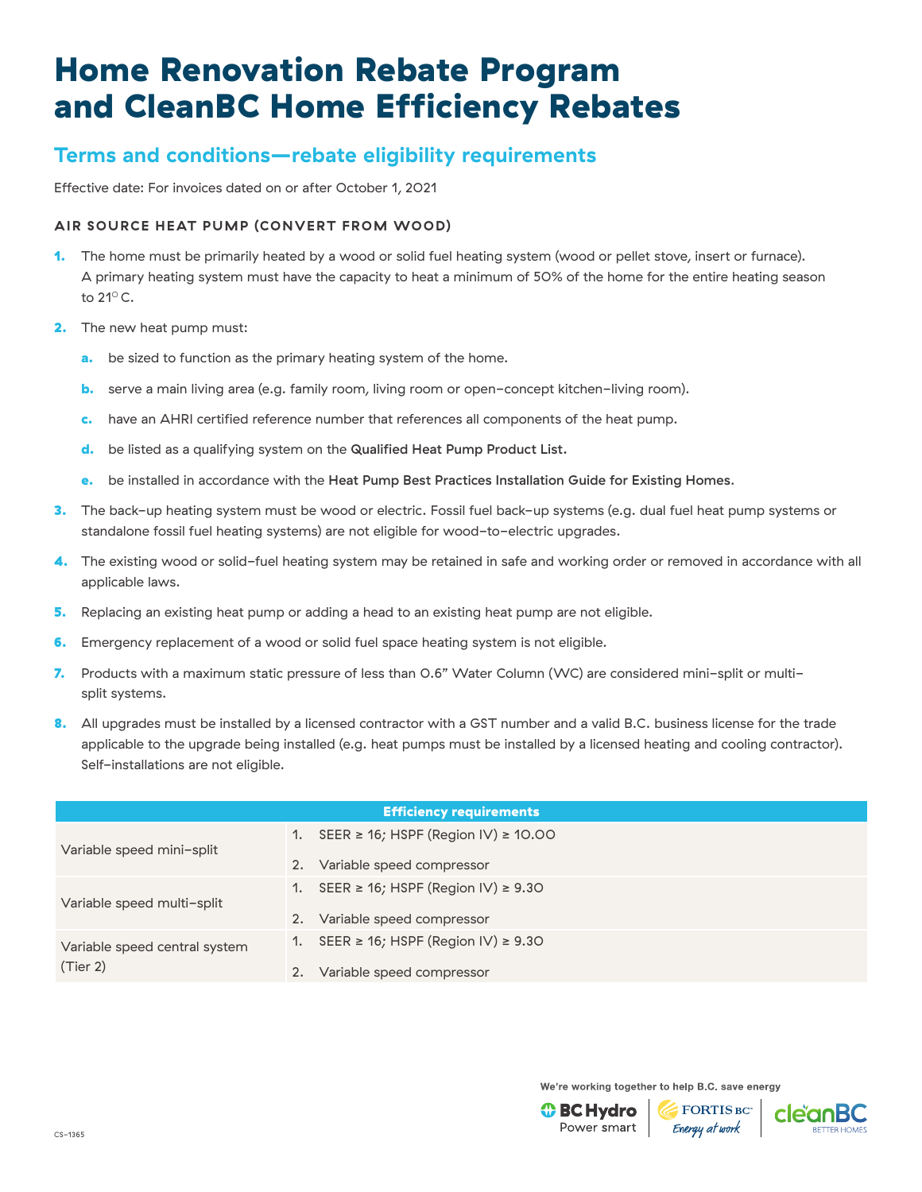## **Terms and conditions—rebate eligibility requirements**

Effective date: For invoices dated on or after October 1, 2021

### **AIR SOURCE HEAT PUMP (CONVERT FROM WOOD)**

- 1. The home must be primarily heated by a wood or solid fuel heating system (wood or pellet stove, insert or furnace). A primary heating system must have the capacity to heat a minimum of 50% of the home for the entire heating season to 21○ C.
- **2.** The new heat pump must:
	- a. be sized to function as the primary heating system of the home.
	- **b.** serve a main living area (e.g. family room, living room or open-concept kitchen-living room).
	- c. have an AHRI certified reference number that references all components of the heat pump.
	- d. be listed as a qualifying system on the [Qualified Heat Pump Product List.](https://app.bchydro.com/hero/HeatPumpLookup)
	- e. be installed in accordance with the [Heat Pump Best Practices Installation Guide for Existing Homes](http://www.homeperformance.ca/wp-content/uploads/2019/12/ASHP_QI_Best_Practice_Guide_20191209.pdf).
- 3. The back-up heating system must be wood or electric. Fossil fuel back-up systems (e.g. dual fuel heat pump systems or standalone fossil fuel heating systems) are not eligible for wood-to-electric upgrades.
- 4. The existing wood or solid-fuel heating system may be retained in safe and working order or removed in accordance with all applicable laws.
- **5.** Replacing an existing heat pump or adding a head to an existing heat pump are not eligible.
- **6.** Emergency replacement of a wood or solid fuel space heating system is not eligible.
- 7. Products with a maximum static pressure of less than 0.6" Water Column (WC) are considered mini-split or multisplit systems.
- 8. All upgrades must be installed by a licensed contractor with a GST number and a valid B.C. business license for the trade applicable to the upgrade being installed (e.g. heat pumps must be installed by a licensed heating and cooling contractor). Self-installations are not eligible.

|                               |                | <b>Efficiency requirements</b>                |
|-------------------------------|----------------|-----------------------------------------------|
| Variable speed mini-split     | 1.             | SEER $\geq$ 16; HSPF (Region IV) $\geq$ 10.00 |
|                               | 2.             | Variable speed compressor                     |
| Variable speed multi-split    | $\mathbf{1}$ . | SEER ≥ 16; HSPF (Region IV) ≥ 9.30            |
|                               | 2.             | Variable speed compressor                     |
| Variable speed central system |                | SEER ≥ 16; HSPF (Region IV) ≥ 9.30            |
| (Tier 2)                      |                | Variable speed compressor                     |



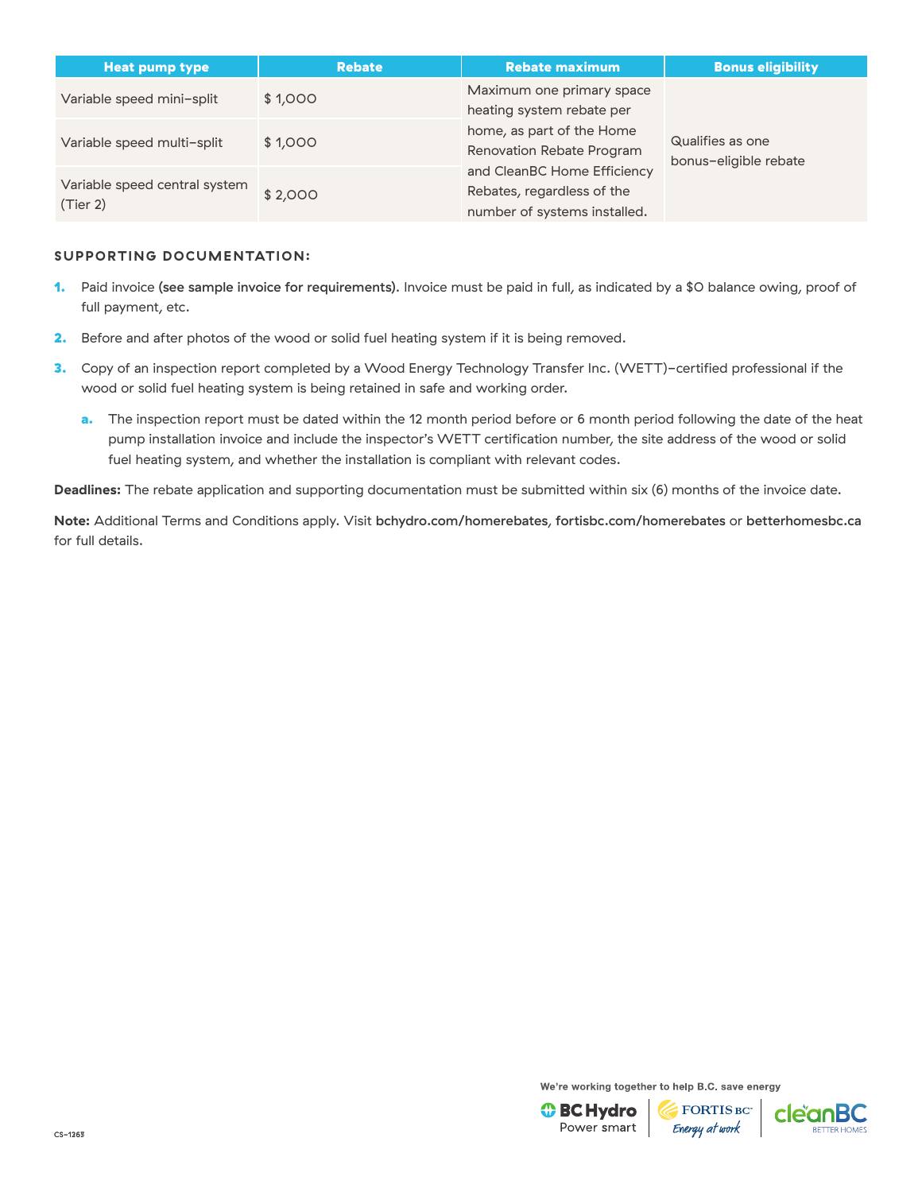| <b>Heat pump type</b>                     | <b>Rebate</b> | <b>Rebate maximum</b>                                                                     | <b>Bonus eligibility</b>                  |
|-------------------------------------------|---------------|-------------------------------------------------------------------------------------------|-------------------------------------------|
| Variable speed mini-split                 | \$1,000       | Maximum one primary space<br>heating system rebate per                                    |                                           |
| Variable speed multi-split                | \$1,000       | home, as part of the Home<br>Renovation Rebate Program                                    | Qualifies as one<br>bonus-eligible rebate |
| Variable speed central system<br>(Tier 2) | \$2,000       | and CleanBC Home Efficiency<br>Rebates, regardless of the<br>number of systems installed. |                                           |

#### **SUPPORTING DOCUMENTATION:**

- 1. Paid invoice [\(see sample invoice for requirements\)](https://betterhomesbc.ca/wp-content/uploads/2020/10/CleanBC_Sample_Wood_to_Heat_Pump_Invoice_Oct2020.pdf). Invoice must be paid in full, as indicated by a \$0 balance owing, proof of full payment, etc.
- 2. Before and after photos of the wood or solid fuel heating system if it is being removed.
- 3. Copy of an inspection report completed by a Wood Energy Technology Transfer Inc. (WETT)-certified professional if the wood or solid fuel heating system is being retained in safe and working order.
	- a. The inspection report must be dated within the 12 month period before or 6 month period following the date of the heat pump installation invoice and include the inspector's WETT certification number, the site address of the wood or solid fuel heating system, and whether the installation is compliant with relevant codes.

**Deadlines:** The rebate application and supporting documentation must be submitted within six (6) months of the invoice date.

**Note:** Additional Terms and Conditions apply. Visit [bchydro.com/homerebates](http://bchydro.com/homerebates), [fortisbc.com/homerebates](http://fortisbc.com/homerebates) or [betterhomesbc.ca](http://betterhomesbc.ca) for full details.

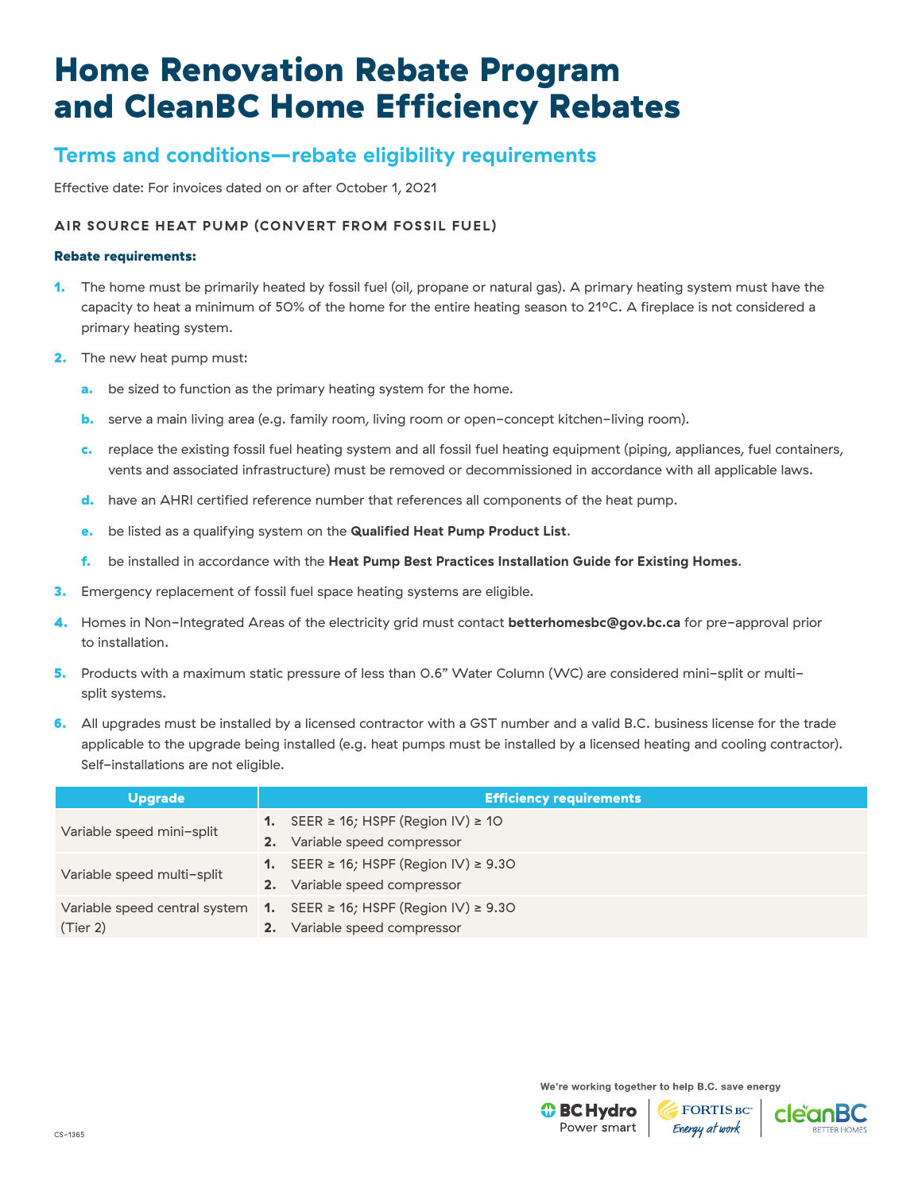## **Terms and conditions—rebate eligibility requirements**

Effective date: For invoices dated on or after October 1, 2021

### **AIR SOURCE HEAT PUMP (CONVERT FROM FOSSIL FUEL)**

#### Rebate requirements:

- 1. The home must be primarily heated by fossil fuel (oil, propane or natural gas). A primary heating system must have the capacity to heat a minimum of 50% of the home for the entire heating season to 210C. A fireplace is not considered a primary heating system.
- 2. The new heat pump must:
	- a. be sized to function as the primary heating system for the home.
	- **b.** serve a main living area (e.g. family room, living room or open-concept kitchen-living room).
	- c. replace the existing fossil fuel heating system and all fossil fuel heating equipment (piping, appliances, fuel containers, vents and associated infrastructure) must be removed or decommissioned in accordance with all applicable laws.
	- d. have an AHRI certified reference number that references all components of the heat pump.
	- e. be listed as a qualifying system on the **[Qualified Heat Pump Product List](https://app.bchydro.com/hero/HeatPumpLookup)**.
	- f. be installed in accordance with the **[Heat Pump Best Practices Installation Guide for Existing Homes](http://www.homeperformance.ca/wp-content/uploads/2019/12/ASHP_QI_Best_Practice_Guide_20191209.pdf)**.
- 3. Emergency replacement of fossil fuel space heating systems are eligible.
- 4. Homes in Non-Integrated Areas of the electricity grid must contact **[betterhomesbc@gov.bc.ca](mailto:betterhomesbc%40gov.bc.ca?subject=)** for pre-approval prior to installation.
- 5. Products with a maximum static pressure of less than 0.6" Water Column (WC) are considered mini-split or multisplit systems.
- 6. All upgrades must be installed by a licensed contractor with a GST number and a valid B.C. business license for the trade applicable to the upgrade being installed (e.g. heat pumps must be installed by a licensed heating and cooling contractor). Self-installations are not eligible.

| <b>Upgrade</b>                |                  | <b>Efficiency requirements</b>                  |
|-------------------------------|------------------|-------------------------------------------------|
|                               |                  | 1. SEER $\geq$ 16; HSPF (Region IV) $\geq$ 10   |
| Variable speed mini-split     | 2.               | Variable speed compressor                       |
| Variable speed multi-split    |                  | 1. SEER $\geq$ 16; HSPF (Region IV) $\geq$ 9.30 |
|                               | 2.               | Variable speed compressor                       |
| Variable speed central system | $\overline{1}$ . | SEER ≥ 16; HSPF (Region IV) ≥ 9.30              |
| (Tier 2)                      |                  | Variable speed compressor                       |

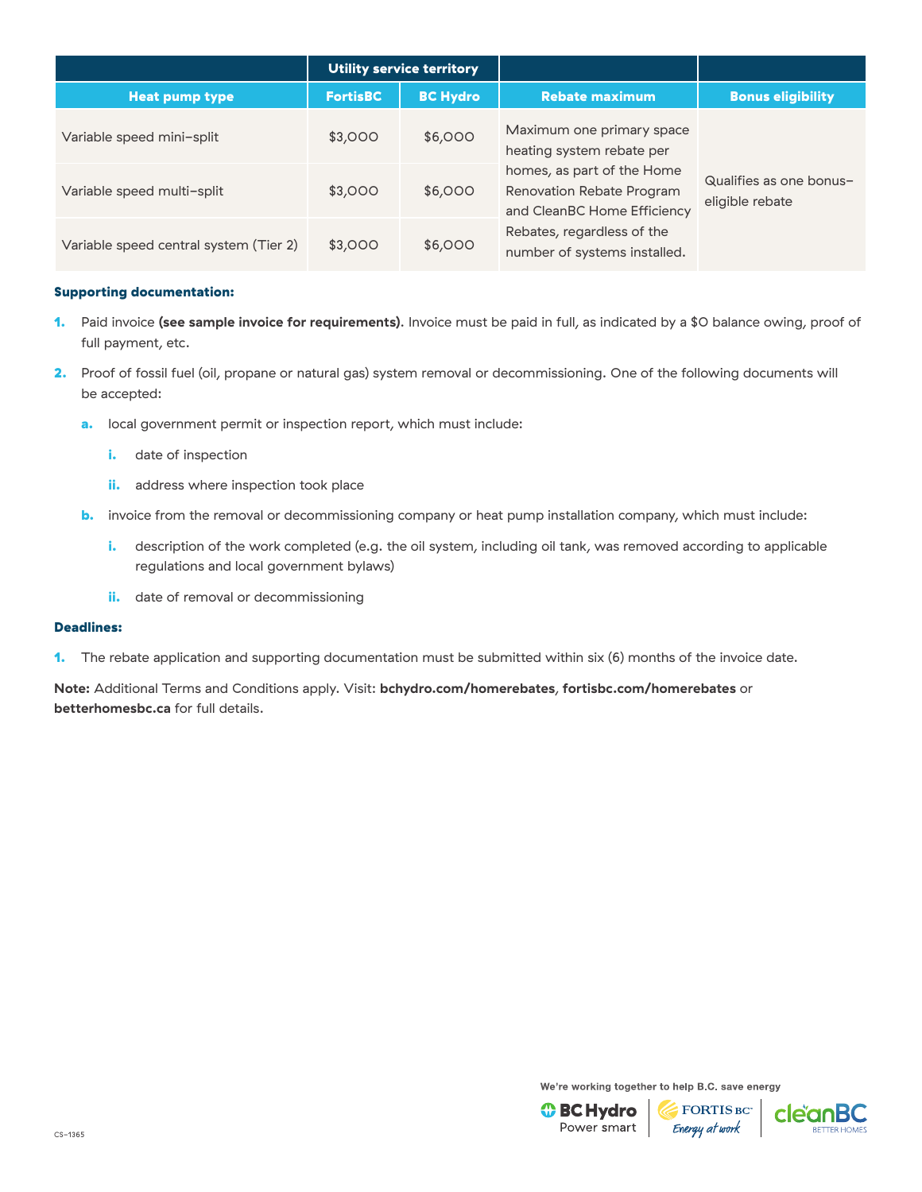|                                        |                 | Utility service territory |                                                                                               |                                            |
|----------------------------------------|-----------------|---------------------------|-----------------------------------------------------------------------------------------------|--------------------------------------------|
| <b>Heat pump type</b>                  | <b>FortisBC</b> | <b>BC Hydro</b>           | <b>Rebate maximum</b>                                                                         | <b>Bonus eligibility</b>                   |
| Variable speed mini-split              | \$3,000         | \$6,000                   | Maximum one primary space<br>heating system rebate per                                        | Qualifies as one bonus-<br>eligible rebate |
| Variable speed multi-split             | \$3,000         | \$6,000                   | homes, as part of the Home<br><b>Renovation Rebate Program</b><br>and CleanBC Home Efficiency |                                            |
| Variable speed central system (Tier 2) | \$3,000         | \$6,000                   | Rebates, regardless of the<br>number of systems installed.                                    |                                            |

- 1. Paid invoice **[\(see sample invoice for requirements\)](https://betterhomesbc.ca/wp-content/uploads/2018/09/CleanBC_BetterHomes_Sample_Invoices_May2019_ASHP_FuelConversion.pdf)**. Invoice must be paid in full, as indicated by a \$0 balance owing, proof of full payment, etc.
- 2. Proof of fossil fuel (oil, propane or natural gas) system removal or decommissioning. One of the following documents will be accepted:
	- a. local government permit or inspection report, which must include:
		- i. date of inspection
		- ii. address where inspection took place
	- **b.** invoice from the removal or decommissioning company or heat pump installation company, which must include:
		- i. description of the work completed (e.g. the oil system, including oil tank, was removed according to applicable regulations and local government bylaws)
		- ii. date of removal or decommissioning

#### Deadlines:

1. The rebate application and supporting documentation must be submitted within six (6) months of the invoice date.

**Note:** Additional Terms and Conditions apply. Visit: **[bchydro.com/homerebates](https://www.bchydro.com/powersmart/residential/savings-and-rebates/current-rebates-buy-backs/home-renovation-rebates.html?WT.mc_id=rd_homerebates)**, **[fortisbc.com/homerebates](https://www.fortisbc.com/rebates-and-energy-savings/rebates-and-offers/bundles/home-renovations?utm_campaign=cemres&utm_source=collateral&utm_content=homerebates)** or **[betterhomesbc.ca](https://betterhomesbc.ca/)** for full details.

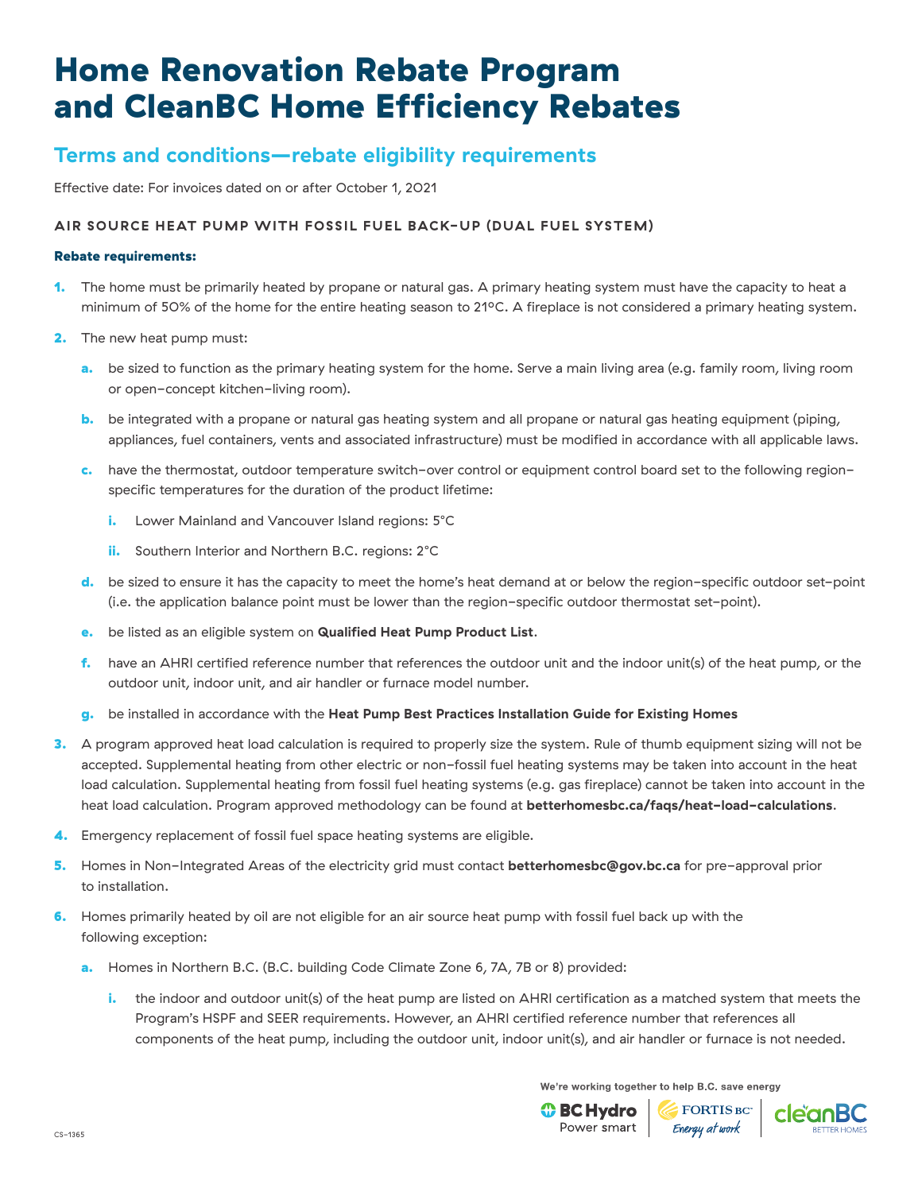## **Terms and conditions—rebate eligibility requirements**

Effective date: For invoices dated on or after October 1, 2021

### **AIR SOURCE HEAT PUMP WITH FOSSIL FUEL BACK-UP (DUAL FUEL SYSTEM)**

#### Rebate requirements:

- 1. The home must be primarily heated by propane or natural gas. A primary heating system must have the capacity to heat a minimum of 50% of the home for the entire heating season to 210C. A fireplace is not considered a primary heating system.
- 2. The new heat pump must:
	- **a.** be sized to function as the primary heating system for the home. Serve a main living area (e.g. family room, living room or open-concept kitchen-living room).
	- b. be integrated with a propane or natural gas heating system and all propane or natural gas heating equipment (piping, appliances, fuel containers, vents and associated infrastructure) must be modified in accordance with all applicable laws.
	- c. have the thermostat, outdoor temperature switch-over control or equipment control board set to the following regionspecific temperatures for the duration of the product lifetime:
		- i. Lower Mainland and Vancouver Island regions: 5°C
		- **ii.** Southern Interior and Northern B.C. regions: 2°C
	- d. be sized to ensure it has the capacity to meet the home's heat demand at or below the region-specific outdoor set-point (i.e. the application balance point must be lower than the region-specific outdoor thermostat set-point).
	- e. be listed as an eligible system on **[Qualified Heat Pump Product List](https://app.bchydro.com/hero/HeatPumpLookup)**.
	- f. have an AHRI certified reference number that references the outdoor unit and the indoor unit(s) of the heat pump, or the outdoor unit, indoor unit, and air handler or furnace model number.
	- g. be installed in accordance with the **[Heat Pump Best Practices Installation Guide for Existing Homes](http://www.homeperformance.ca/wp-content/uploads/2019/12/ASHP_QI_Best_Practice_Guide_20191209.pdf)**
- 3. A program approved heat load calculation is required to properly size the system. Rule of thumb equipment sizing will not be accepted. Supplemental heating from other electric or non-fossil fuel heating systems may be taken into account in the heat load calculation. Supplemental heating from fossil fuel heating systems (e.g. gas fireplace) cannot be taken into account in the heat load calculation. Program approved methodology can be found at **[betterhomesbc.ca/faqs/heat-load-calculations](https://betterhomesbc.ca/faqs/heat-load-calculations/)**.
- 4. Emergency replacement of fossil fuel space heating systems are eligible.
- 5. Homes in Non-Integrated Areas of the electricity grid must contact **[betterhomesbc@gov.bc.ca](mailto:betterhomesbc%40gov.bc.ca?subject=)** for pre-approval prior to installation.
- 6. Homes primarily heated by oil are not eligible for an air source heat pump with fossil fuel back up with the following exception:
	- a. Homes in Northern B.C. (B.C. building Code Climate Zone 6, 7A, 7B or 8) provided:
		- i. the indoor and outdoor unit(s) of the heat pump are listed on AHRI certification as a matched system that meets the Program's HSPF and SEER requirements. However, an AHRI certified reference number that references all components of the heat pump, including the outdoor unit, indoor unit(s), and air handler or furnace is not needed.

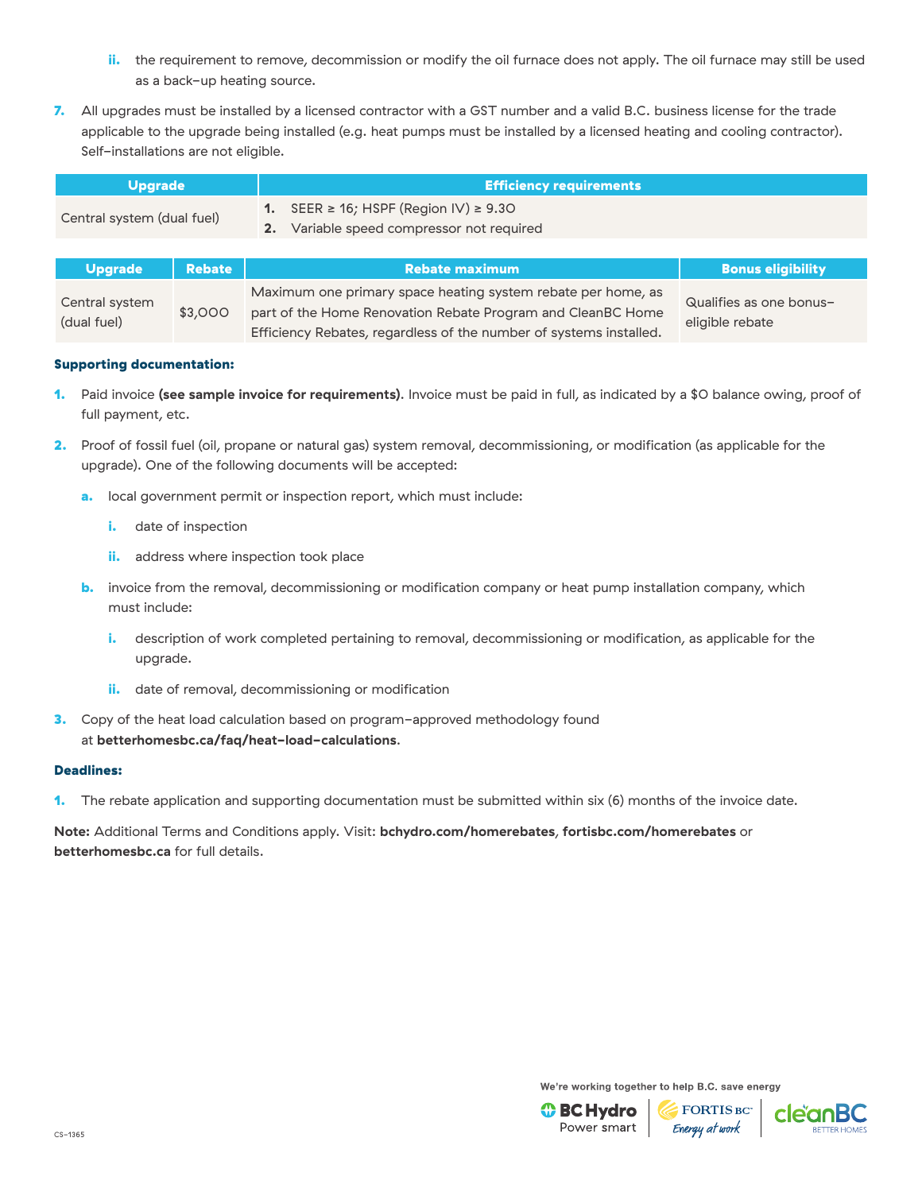- ii. the requirement to remove, decommission or modify the oil furnace does not apply. The oil furnace may still be used as a back-up heating source.
- 7. All upgrades must be installed by a licensed contractor with a GST number and a valid B.C. business license for the trade applicable to the upgrade being installed (e.g. heat pumps must be installed by a licensed heating and cooling contractor). Self-installations are not eligible.

| <b>Upgrade</b>             | <b>Efficiency requirements</b>                                                                      |  |  |  |
|----------------------------|-----------------------------------------------------------------------------------------------------|--|--|--|
| Central system (dual fuel) | 1. SEER $\geq$ 16; HSPF (Region IV) $\geq$ 9.30<br><b>2.</b> Variable speed compressor not required |  |  |  |

| <b>Upgrade</b>                | <b>Rebate</b> | <b>Rebate maximum</b>                                                                                                                                                                             | <b>Bonus eligibility</b>                   |
|-------------------------------|---------------|---------------------------------------------------------------------------------------------------------------------------------------------------------------------------------------------------|--------------------------------------------|
| Central system<br>(dual fuel) | \$3,000       | Maximum one primary space heating system rebate per home, as<br>part of the Home Renovation Rebate Program and CleanBC Home<br>Efficiency Rebates, regardless of the number of systems installed. | Qualifies as one bonus-<br>eligible rebate |

- 1. Paid invoice **[\(see sample invoice for requirements\)](https://betterhomesbc.ca/wp-content/uploads/2018/09/CleanBC_BetterHomes_Sample_Invoices_May2019_ASHP_FuelConversion.pdf)**. Invoice must be paid in full, as indicated by a \$0 balance owing, proof of full payment, etc.
- 2. Proof of fossil fuel (oil, propane or natural gas) system removal, decommissioning, or modification (as applicable for the upgrade). One of the following documents will be accepted:
	- a. local government permit or inspection report, which must include:
		- i. date of inspection
		- ii. address where inspection took place
	- **b.** invoice from the removal, decommissioning or modification company or heat pump installation company, which must include:
		- i. description of work completed pertaining to removal, decommissioning or modification, as applicable for the upgrade.
		- ii. date of removal, decommissioning or modification
- **3.** Copy of the heat load calculation based on program-approved methodology found at **[betterhomesbc.ca/faq/heat-load-calculations](https://betterhomesbc.ca/faqs/heat-load-calculations/)**.

#### Deadlines:

1. The rebate application and supporting documentation must be submitted within six (6) months of the invoice date.

**Note:** Additional Terms and Conditions apply. Visit: **[bchydro.com/homerebates](https://www.bchydro.com/powersmart/residential/savings-and-rebates/current-rebates-buy-backs/home-renovation-rebates.html?WT.mc_id=rd_homerebates)**, **[fortisbc.com/homerebates](https://www.fortisbc.com/rebates-and-energy-savings/rebates-and-offers/bundles/home-renovations?utm_campaign=cemres&utm_source=collateral&utm_content=homerebates)** or **[betterhomesbc.ca](https://betterhomesbc.ca/)** for full details.

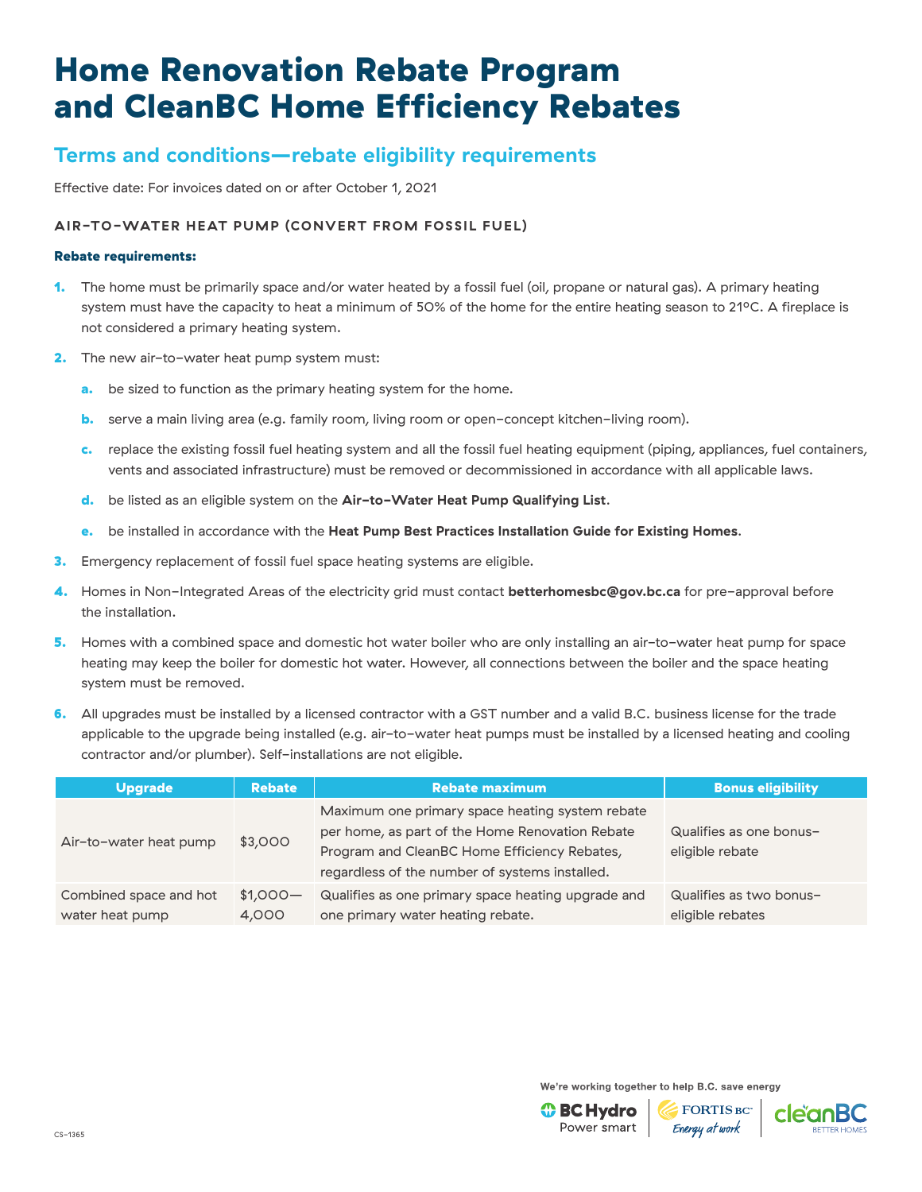## **Terms and conditions—rebate eligibility requirements**

Effective date: For invoices dated on or after October 1, 2021

### **AIR-TO-WATER HEAT PUMP (CONVERT FROM FOSSIL FUEL)**

#### Rebate requirements:

- 1. The home must be primarily space and/or water heated by a fossil fuel (oil, propane or natural gas). A primary heating system must have the capacity to heat a minimum of 50% of the home for the entire heating season to 21°C. A fireplace is not considered a primary heating system.
- 2. The new air-to-water heat pump system must:
	- a. be sized to function as the primary heating system for the home.
	- **b.** serve a main living area (e.g. family room, living room or open-concept kitchen-living room).
	- c. replace the existing fossil fuel heating system and all the fossil fuel heating equipment (piping, appliances, fuel containers, vents and associated infrastructure) must be removed or decommissioned in accordance with all applicable laws.
	- d. be listed as an eligible system on the **[Air-to-Water Heat Pump Qualifying List](https://betterhomesbc.ca/wp-content/uploads/2019/09/CleanBC-BetterHomes-Air_to_WaterQPL-Nov12_2019.pdf)**.
	- e. be installed in accordance with the **[Heat Pump Best Practices Installation Guide for Existing Homes](http://www.homeperformance.ca/wp-content/uploads/2019/12/ASHP_QI_Best_Practice_Guide_20191209.pdf)**.
- 3. Emergency replacement of fossil fuel space heating systems are eligible.
- 4. Homes in Non-Integrated Areas of the electricity grid must contact **[betterhomesbc@gov.bc.ca](mailto:betterhomesbc%40gov.bc.ca?subject=)** for pre-approval before the installation.
- 5. Homes with a combined space and domestic hot water boiler who are only installing an air-to-water heat pump for space heating may keep the boiler for domestic hot water. However, all connections between the boiler and the space heating system must be removed.
- 6. All upgrades must be installed by a licensed contractor with a GST number and a valid B.C. business license for the trade applicable to the upgrade being installed (e.g. air-to-water heat pumps must be installed by a licensed heating and cooling contractor and/or plumber). Self-installations are not eligible.

| <b>Upgrade</b>                            | <b>Rebate</b>      | <b>Rebate maximum</b>                                                                                                                                                                                | <b>Bonus eligibility</b>                    |
|-------------------------------------------|--------------------|------------------------------------------------------------------------------------------------------------------------------------------------------------------------------------------------------|---------------------------------------------|
| Air-to-water heat pump                    | \$3,000            | Maximum one primary space heating system rebate<br>per home, as part of the Home Renovation Rebate<br>Program and CleanBC Home Efficiency Rebates,<br>regardless of the number of systems installed. | Qualifies as one bonus-<br>eligible rebate  |
| Combined space and hot<br>water heat pump | $$1,000-$<br>4,000 | Qualifies as one primary space heating upgrade and<br>one primary water heating rebate.                                                                                                              | Qualifies as two bonus-<br>eligible rebates |

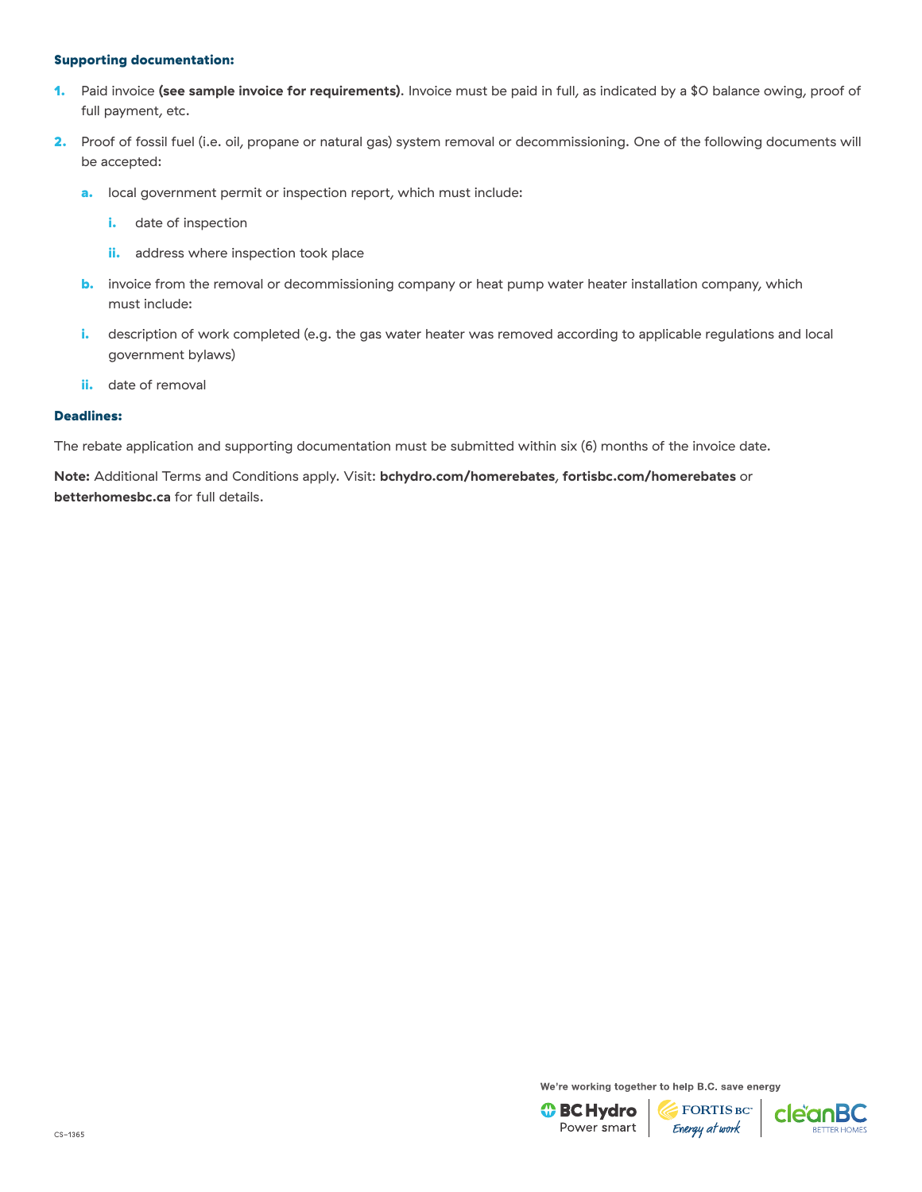- 1. Paid invoice **[\(see sample invoice for requirements\)](https://betterhomesbc.ca/wp-content/uploads/2018/09/CleanBC_BetterHomes_Sample_Invoices_May2019_ASHP_FuelConversion.pdf)**. Invoice must be paid in full, as indicated by a \$0 balance owing, proof of full payment, etc.
- 2. Proof of fossil fuel (i.e. oil, propane or natural gas) system removal or decommissioning. One of the following documents will be accepted:
	- a. local government permit or inspection report, which must include:
		- i. date of inspection
		- ii. address where inspection took place
	- **b.** invoice from the removal or decommissioning company or heat pump water heater installation company, which must include:
	- i. description of work completed (e.g. the gas water heater was removed according to applicable regulations and local government bylaws)
	- ii. date of removal

#### Deadlines:

The rebate application and supporting documentation must be submitted within six (6) months of the invoice date.

**Note:** Additional Terms and Conditions apply. Visit: **[bchydro.com/homerebates](https://www.bchydro.com/powersmart/residential/savings-and-rebates/current-rebates-buy-backs/home-renovation-rebates.html?WT.mc_id=rd_homerebates)**, **[fortisbc.com/homerebates](https://www.fortisbc.com/rebates-and-energy-savings/rebates-and-offers/bundles/home-renovations?utm_campaign=cemres&utm_source=collateral&utm_content=homerebates)** or **[betterhomesbc.ca](https://betterhomesbc.ca/)** for full details.

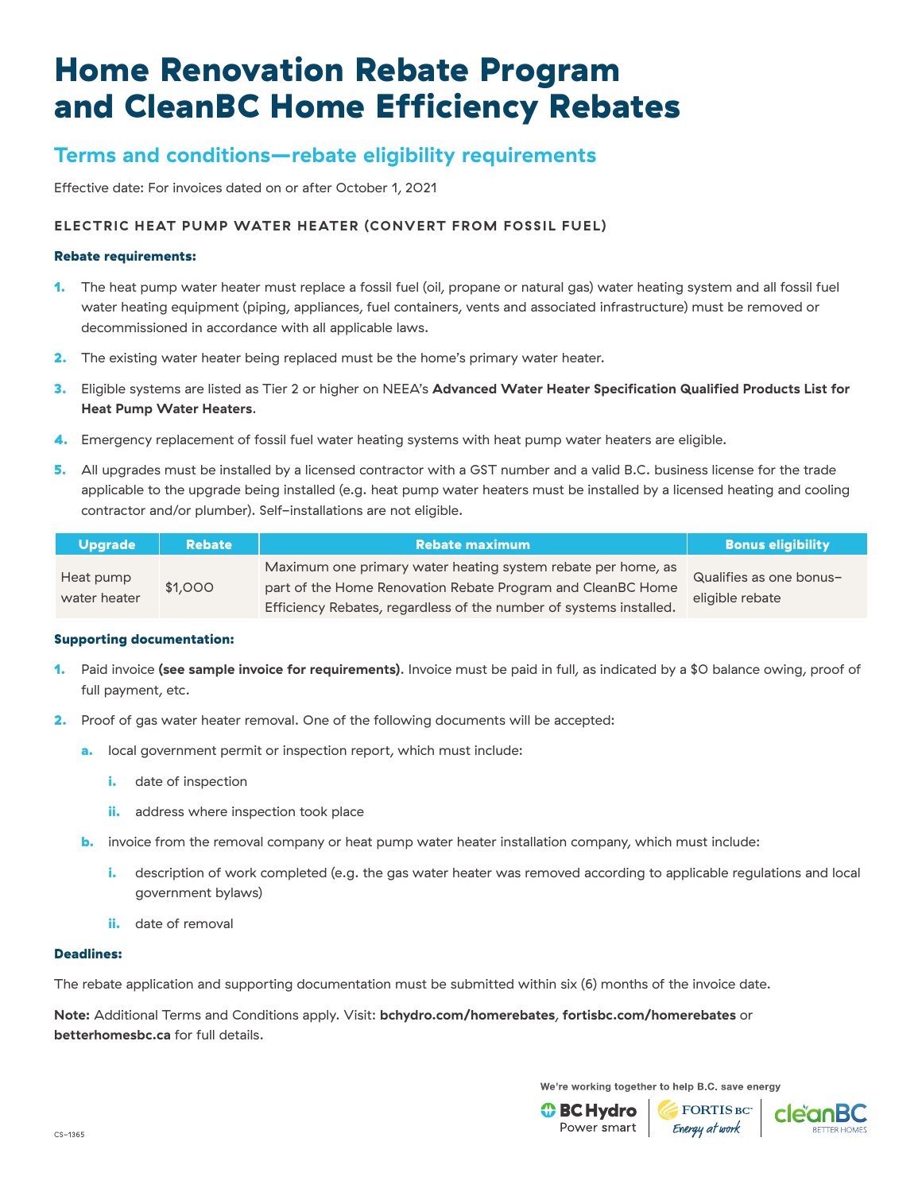## **Terms and conditions—rebate eligibility requirements**

Effective date: For invoices dated on or after October 1, 2021

### **ELECTRIC HEAT PUMP WATER HEATER (CONVERT FROM FOSSIL FUEL)**

#### Rebate requirements:

- 1. The heat pump water heater must replace a fossil fuel (oil, propane or natural gas) water heating system and all fossil fuel water heating equipment (piping, appliances, fuel containers, vents and associated infrastructure) must be removed or decommissioned in accordance with all applicable laws.
- 2. The existing water heater being replaced must be the home's primary water heater.
- 3. Eligible systems are listed as Tier 2 or higher on NEEA's **[Advanced Water Heater Specification Qualified Products List for](https://neea.org/img/documents/qualified-products-list.pdf)  [Heat Pump Water Heaters](https://neea.org/img/documents/qualified-products-list.pdf)**.
- 4. Emergency replacement of fossil fuel water heating systems with heat pump water heaters are eligible.
- 5. All upgrades must be installed by a licensed contractor with a GST number and a valid B.C. business license for the trade applicable to the upgrade being installed (e.g. heat pump water heaters must be installed by a licensed heating and cooling contractor and/or plumber). Self-installations are not eligible.

| <b>Upgrade</b>            | <b>Rebate</b> | <b>Rebate maximum</b>                                                                                                                                                                             | <b>Bonus eligibility</b>                   |
|---------------------------|---------------|---------------------------------------------------------------------------------------------------------------------------------------------------------------------------------------------------|--------------------------------------------|
| Heat pump<br>water heater | \$1,000       | Maximum one primary water heating system rebate per home, as<br>part of the Home Renovation Rebate Program and CleanBC Home<br>Efficiency Rebates, regardless of the number of systems installed. | Qualifies as one bonus-<br>eligible rebate |

### Supporting documentation:

- 1. Paid invoice **[\(see sample invoice for requirements\)](https://betterhomesbc.ca/wp-content/uploads/2018/09/CleanBC_BetterHomes_Sample_Invoices_May2019_Electric_HPWH.pdf)**. Invoice must be paid in full, as indicated by a \$0 balance owing, proof of full payment, etc.
- 2. Proof of gas water heater removal. One of the following documents will be accepted:
	- a. local government permit or inspection report, which must include:
		- i. date of inspection
		- ii. address where inspection took place
	- **b.** invoice from the removal company or heat pump water heater installation company, which must include:
		- i. description of work completed (e.g. the gas water heater was removed according to applicable regulations and local government bylaws)
		- ii. date of removal

#### Deadlines:

The rebate application and supporting documentation must be submitted within six (6) months of the invoice date.

**Note:** Additional Terms and Conditions apply. Visit: **[bchydro.com/homerebates](https://www.bchydro.com/powersmart/residential/savings-and-rebates/current-rebates-buy-backs/home-renovation-rebates.html?WT.mc_id=rd_homerebates)**, **[fortisbc.com/homerebates](https://www.fortisbc.com/rebates-and-energy-savings/rebates-and-offers/bundles/home-renovations?utm_campaign=cemres&utm_source=collateral&utm_content=homerebates)** or **[betterhomesbc.ca](https://betterhomesbc.ca/)** for full details.

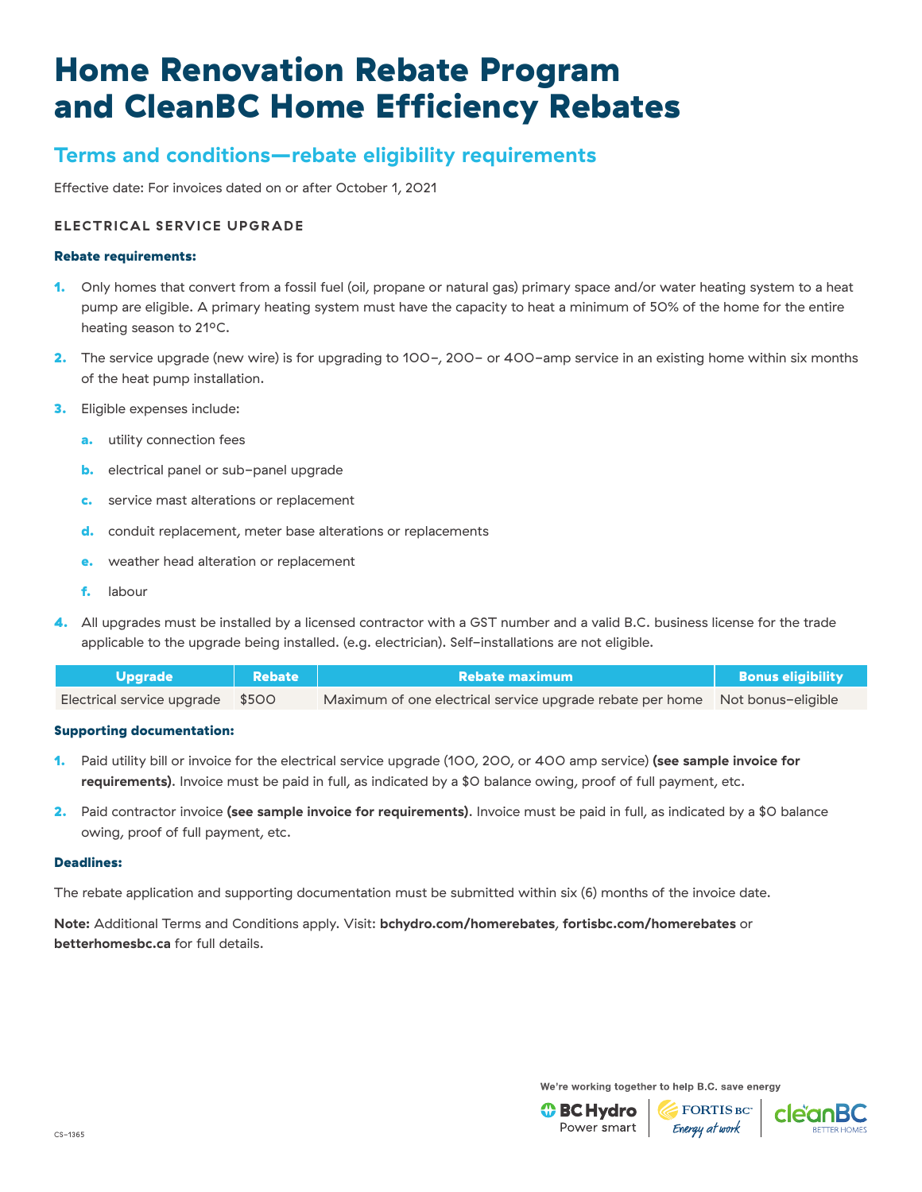# **Terms and conditions—rebate eligibility requirements**

Effective date: For invoices dated on or after October 1, 2021

### **ELECTRICAL SERVICE UPGRADE**

#### Rebate requirements:

- 1. Only homes that convert from a fossil fuel (oil, propane or natural gas) primary space and/or water heating system to a heat pump are eligible. A primary heating system must have the capacity to heat a minimum of 50% of the home for the entire heating season to 21°C.
- 2. The service upgrade (new wire) is for upgrading to 100-, 200- or 400-amp service in an existing home within six months of the heat pump installation.
- 3. Eligible expenses include:
	- a. utility connection fees
	- **b.** electrical panel or sub-panel upgrade
	- **c.** service mast alterations or replacement
	- d. conduit replacement, meter base alterations or replacements
	- e. weather head alteration or replacement
	- f. labour
- 4. All upgrades must be installed by a licensed contractor with a GST number and a valid B.C. business license for the trade applicable to the upgrade being installed. (e.g. electrician). Self-installations are not eligible.

| <b>Upgrade</b>                   | <b>Rebate</b> | Rebate maximum                                                               | Bonus eligibility |
|----------------------------------|---------------|------------------------------------------------------------------------------|-------------------|
| Electrical service upgrade \$500 |               | Maximum of one electrical service upgrade rebate per home Not bonus-eligible |                   |

### Supporting documentation:

- 1. Paid utility bill or invoice for the electrical service upgrade (100, 200, or 400 amp service) **[\(see sample invoice for](https://betterhomesbc.ca/wp-content/uploads/2019/09/CleanBC_BetterHomes_Sample_Invoices_October2019_Utility_Invoice.pdf)  [requirements\)](https://betterhomesbc.ca/wp-content/uploads/2019/09/CleanBC_BetterHomes_Sample_Invoices_October2019_Utility_Invoice.pdf)**. Invoice must be paid in full, as indicated by a \$0 balance owing, proof of full payment, etc.
- 2. Paid contractor invoice **[\(see sample invoice for requirements\)](https://betterhomesbc.ca/wp-content/uploads/2019/09/CleanBC_BetterHomes_Sample_Invoices_October2019_Electrical_Contractor_Invoice.pdf)**. Invoice must be paid in full, as indicated by a \$0 balance owing, proof of full payment, etc.

#### Deadlines:

The rebate application and supporting documentation must be submitted within six (6) months of the invoice date.

**Note:** Additional Terms and Conditions apply. Visit: **[bchydro.com/homerebates](https://www.bchydro.com/powersmart/residential/savings-and-rebates/current-rebates-buy-backs/home-renovation-rebates.html?WT.mc_id=rd_homerebates)**, **[fortisbc.com/homerebates](https://www.fortisbc.com/rebates-and-energy-savings/rebates-and-offers/bundles/home-renovations?utm_campaign=cemres&utm_source=collateral&utm_content=homerebates)** or **[betterhomesbc.ca](https://betterhomesbc.ca/)** for full details.



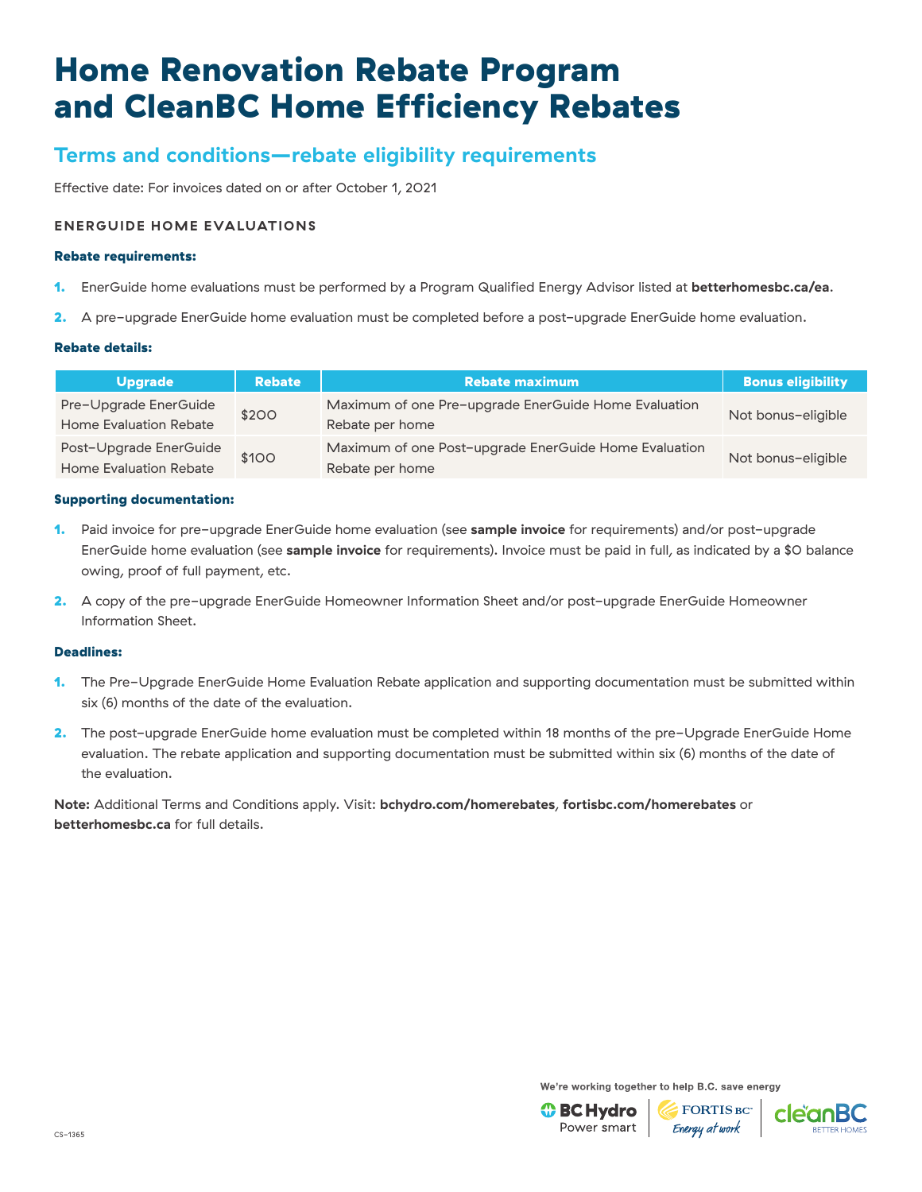## **Terms and conditions—rebate eligibility requirements**

Effective date: For invoices dated on or after October 1, 2021

### **ENERGUIDE HOME EVALUATIONS**

#### Rebate requirements:

- 1. EnerGuide home evaluations must be performed by a Program Qualified Energy Advisor listed at **[betterhomesbc.ca/ea](https://betterhomesbc.ca/ea/)**.
- 2. A pre-upgrade EnerGuide home evaluation must be completed before a post-upgrade EnerGuide home evaluation.

### Rebate details:

| <b>Upgrade</b>                                   | <b>Rebate</b> | <b>Rebate maximum</b>                                                    | <b>Bonus eligibility</b> |
|--------------------------------------------------|---------------|--------------------------------------------------------------------------|--------------------------|
| Pre-Upgrade EnerGuide<br>Home Evaluation Rebate  | \$200         | Maximum of one Pre-upgrade EnerGuide Home Evaluation<br>Rebate per home  | Not bonus-eligible       |
| Post-Upgrade EnerGuide<br>Home Evaluation Rebate | \$100         | Maximum of one Post-upgrade EnerGuide Home Evaluation<br>Rebate per home | Not bonus-eligible       |

#### Supporting documentation:

- 1. Paid invoice for pre-upgrade EnerGuide home evaluation (see **[sample invoice](https://betterhomesbc.ca/wp-content/uploads/2020/03/CleanBC_Sample_Pre-Retrofit_Invoice_April2020.pdf)** for requirements) and/or post-upgrade EnerGuide home evaluation (see **[sample invoice](https://betterhomesbc.ca/wp-content/uploads/2020/03/CleanBC_Sample_Post-Retrofit_Invoice_April2020.pdf)** for requirements). Invoice must be paid in full, as indicated by a \$0 balance owing, proof of full payment, etc.
- 2. A copy of the pre-upgrade EnerGuide Homeowner Information Sheet and/or post-upgrade EnerGuide Homeowner Information Sheet.

#### Deadlines:

- 1. The Pre-Upgrade EnerGuide Home Evaluation Rebate application and supporting documentation must be submitted within six (6) months of the date of the evaluation.
- 2. The post-upgrade EnerGuide home evaluation must be completed within 18 months of the pre-Upgrade EnerGuide Home evaluation. The rebate application and supporting documentation must be submitted within six (6) months of the date of the evaluation.

**Note:** Additional Terms and Conditions apply. Visit: **[bchydro.com/homerebates](https://www.bchydro.com/powersmart/residential/savings-and-rebates/current-rebates-buy-backs/home-renovation-rebates.html?WT.mc_id=rd_homerebates)**, **[fortisbc.com/homerebates](https://www.fortisbc.com/rebates-and-energy-savings/rebates-and-offers/bundles/home-renovations?utm_campaign=cemres&utm_source=collateral&utm_content=homerebates)** or **[betterhomesbc.ca](https://betterhomesbc.ca/)** for full details.

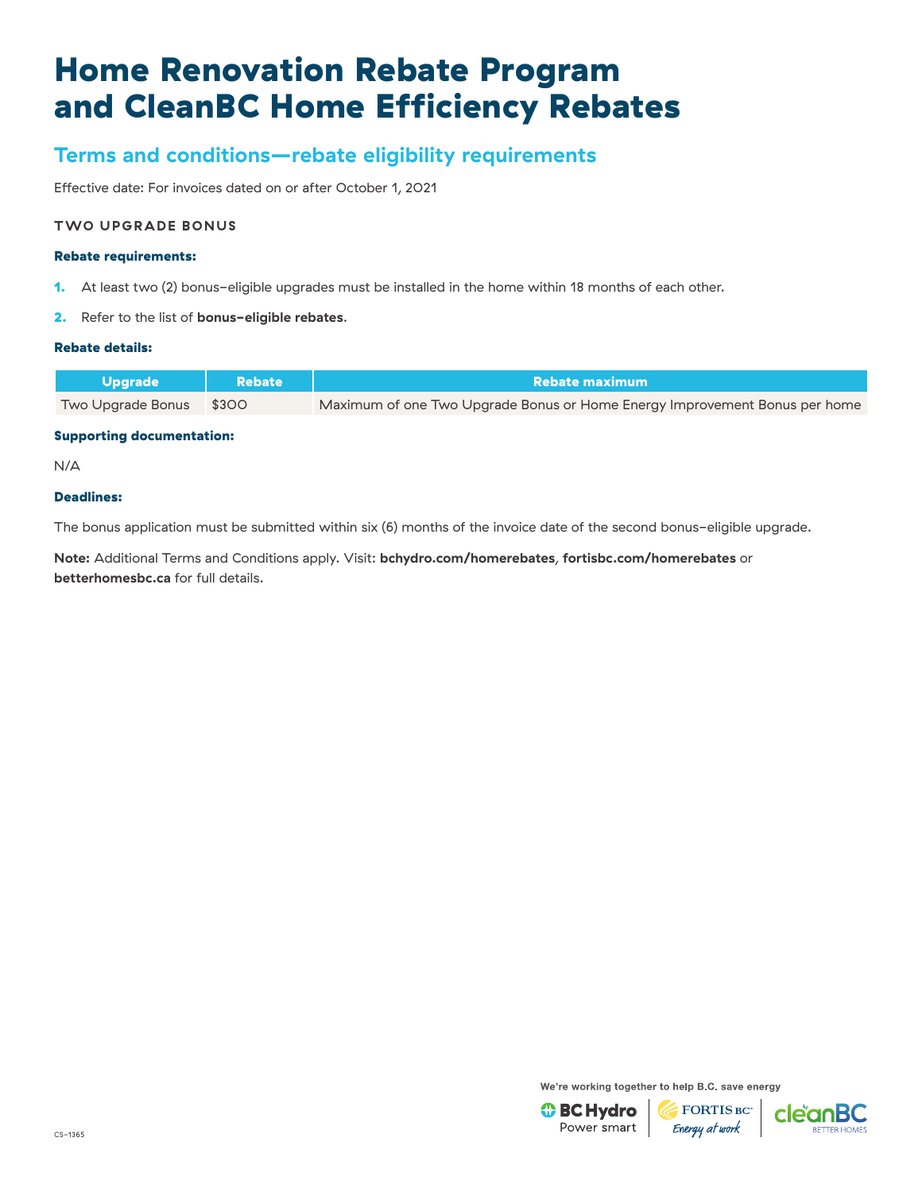## **Terms and conditions—rebate eligibility requirements**

Effective date: For invoices dated on or after October 1, 2021

#### **TWO UPGRADE BONUS**

#### Rebate requirements:

- 1. At least two (2) bonus-eligible upgrades must be installed in the home within 18 months of each other.
- 2. Refer to the list of **[bonus-eligible rebates](https://www.bchydro.com/powersmart/residential/savings-and-rebates/current-rebates-buy-backs/home-renovation-rebates/bonus-rebates.html)**.

### Rebate details:

| <b>Nupgrade</b>         | <b>Rebate</b> | Rebate maximum                                                             |  |
|-------------------------|---------------|----------------------------------------------------------------------------|--|
| Two Upgrade Bonus \$300 |               | Maximum of one Two Upgrade Bonus or Home Energy Improvement Bonus per home |  |

#### Supporting documentation:

N/A

#### Deadlines:

The bonus application must be submitted within six (6) months of the invoice date of the second bonus-eligible upgrade.

**Note:** Additional Terms and Conditions apply. Visit: **[bchydro.com/homerebates](https://www.bchydro.com/powersmart/residential/savings-and-rebates/current-rebates-buy-backs/home-renovation-rebates.html?WT.mc_id=rd_homerebates)**, **[fortisbc.com/homerebates](https://www.fortisbc.com/rebates-and-energy-savings/rebates-and-offers/bundles/home-renovations?utm_campaign=cemres&utm_source=collateral&utm_content=homerebates)** or **[betterhomesbc.ca](https://betterhomesbc.ca/)** for full details.

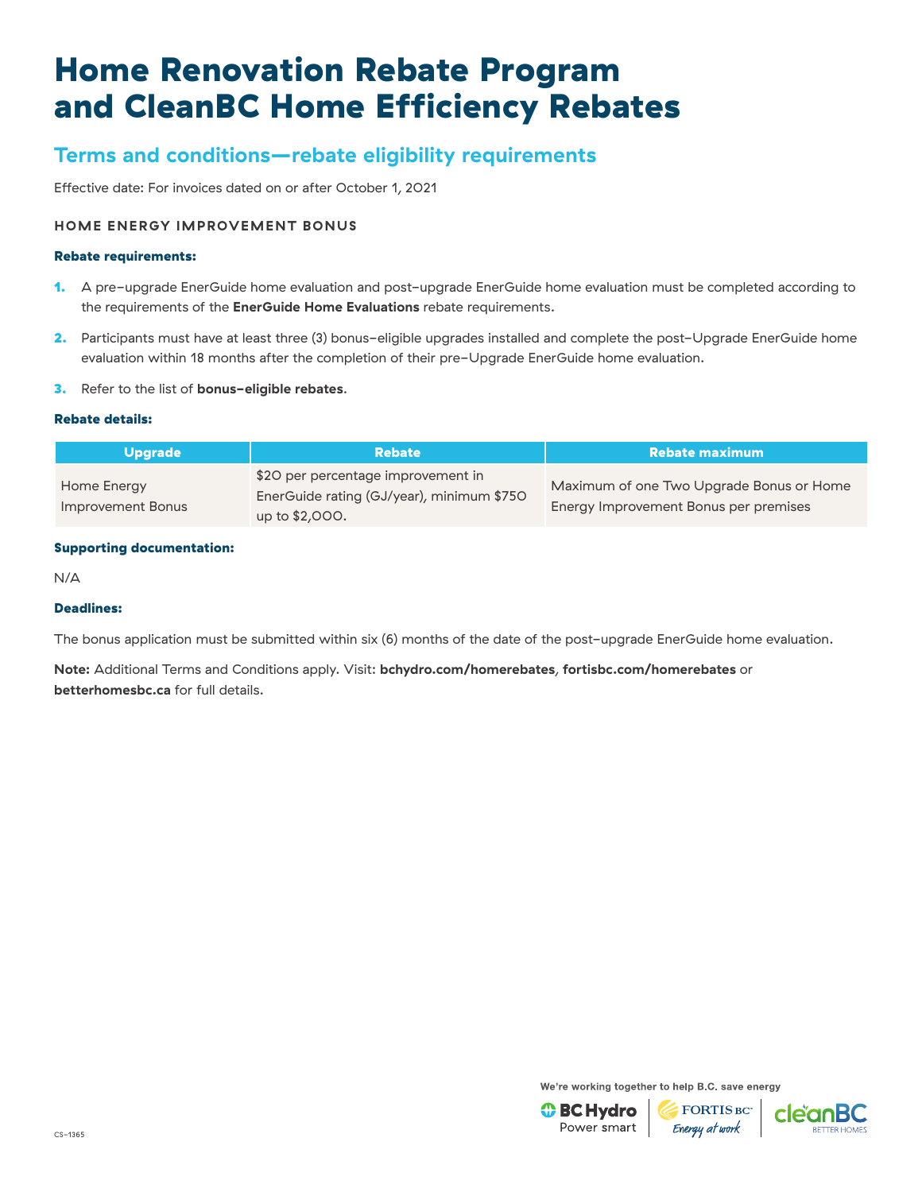## **Terms and conditions—rebate eligibility requirements**

Effective date: For invoices dated on or after October 1, 2021

### **HOME ENERGY IMPROVEMENT BONUS**

#### Rebate requirements:

- 1. A pre-upgrade EnerGuide home evaluation and post-upgrade EnerGuide home evaluation must be completed according to the requirements of the **[EnerGuide Home Evaluations](https://betterhomesbc.ca/renovation/faq/faqs-categories/?category=energuide-home-evaluations)** rebate requirements.
- 2. Participants must have at least three (3) bonus-eligible upgrades installed and complete the post-Upgrade EnerGuide home evaluation within 18 months after the completion of their pre-Upgrade EnerGuide home evaluation.
- 3. Refer to the list of **[bonus-eligible rebates](https://www.bchydro.com/powersmart/residential/savings-and-rebates/current-rebates-buy-backs/home-renovation-rebates/bonus-rebates.html)**.

#### Rebate details:

| <b>Upgrade</b>                   | <b>Rebate</b>                                                                                     | <b>Rebate maximum</b>                                                             |
|----------------------------------|---------------------------------------------------------------------------------------------------|-----------------------------------------------------------------------------------|
| Home Energy<br>Improvement Bonus | \$20 per percentage improvement in<br>EnerGuide rating (GJ/year), minimum \$750<br>up to \$2,000. | Maximum of one Two Upgrade Bonus or Home<br>Energy Improvement Bonus per premises |

#### Supporting documentation:

N/A

### Deadlines:

The bonus application must be submitted within six (6) months of the date of the post-upgrade EnerGuide home evaluation.

**Note:** Additional Terms and Conditions apply. Visit: **[bchydro.com/homerebates](https://www.bchydro.com/powersmart/residential/savings-and-rebates/current-rebates-buy-backs/home-renovation-rebates.html?WT.mc_id=rd_homerebates)**, **[fortisbc.com/homerebates](https://www.fortisbc.com/rebates-and-energy-savings/rebates-and-offers/bundles/home-renovations?utm_campaign=cemres&utm_source=collateral&utm_content=homerebates)** or **[betterhomesbc.ca](https://betterhomesbc.ca/)** for full details.